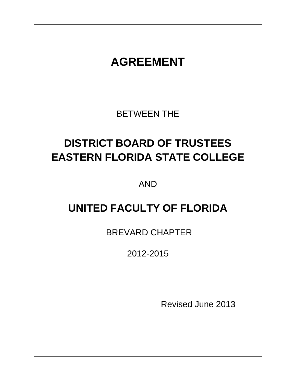# **AGREEMENT**

BETWEEN THE

# **DISTRICT BOARD OF TRUSTEES EASTERN FLORIDA STATE COLLEGE**

AND

## **UNITED FACULTY OF FLORIDA**

BREVARD CHAPTER

2012-2015

Revised June 2013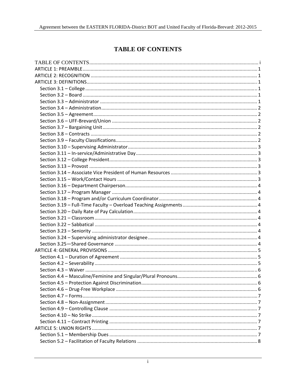## **TABLE OF CONTENTS**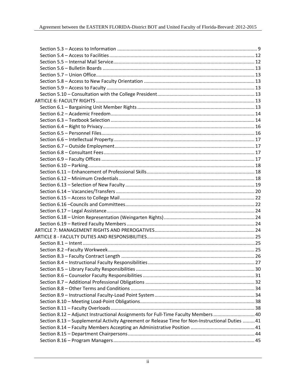| Section 8.12 - Adjunct Instructional Assignments for Full-Time Faculty Members  40              |  |
|-------------------------------------------------------------------------------------------------|--|
| Section 8.13 - Supplemental Activity Agreement or Release Time for Non-Instructional Duties  41 |  |
|                                                                                                 |  |
|                                                                                                 |  |
|                                                                                                 |  |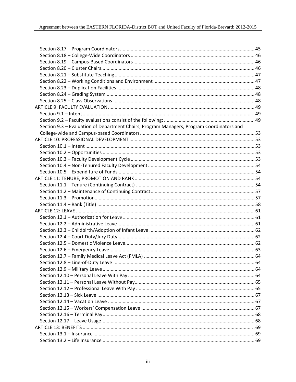| Section 9.3 - Evaluation of Department Chairs, Program Managers, Program Coordinators and |  |
|-------------------------------------------------------------------------------------------|--|
|                                                                                           |  |
|                                                                                           |  |
|                                                                                           |  |
|                                                                                           |  |
|                                                                                           |  |
|                                                                                           |  |
|                                                                                           |  |
|                                                                                           |  |
|                                                                                           |  |
|                                                                                           |  |
|                                                                                           |  |
|                                                                                           |  |
|                                                                                           |  |
|                                                                                           |  |
|                                                                                           |  |
|                                                                                           |  |
|                                                                                           |  |
|                                                                                           |  |
|                                                                                           |  |
|                                                                                           |  |
|                                                                                           |  |
|                                                                                           |  |
|                                                                                           |  |
|                                                                                           |  |
|                                                                                           |  |
|                                                                                           |  |
|                                                                                           |  |
|                                                                                           |  |
|                                                                                           |  |
|                                                                                           |  |
|                                                                                           |  |
|                                                                                           |  |
|                                                                                           |  |
|                                                                                           |  |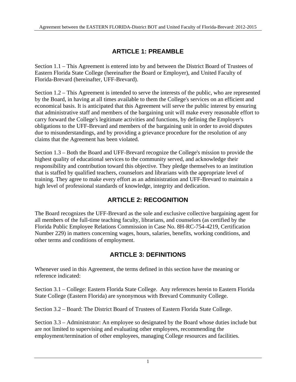## **ARTICLE 1: PREAMBLE**

Section 1.1 – This Agreement is entered into by and between the District Board of Trustees of Eastern Florida State College (hereinafter the Board or Employer), and United Faculty of Florida-Brevard (hereinafter, UFF-Brevard).

Section 1.2 – This Agreement is intended to serve the interests of the public, who are represented by the Board, in having at all times available to them the College's services on an efficient and economical basis. It is anticipated that this Agreement will serve the public interest by ensuring that administrative staff and members of the bargaining unit will make every reasonable effort to carry forward the College's legitimate activities and functions, by defining the Employer's obligations to the UFF-Brevard and members of the bargaining unit in order to avoid disputes due to misunderstandings, and by providing a grievance procedure for the resolution of any claims that the Agreement has been violated.

Section 1.3 – Both the Board and UFF-Brevard recognize the College's mission to provide the highest quality of educational services to the community served, and acknowledge their responsibility and contribution toward this objective. They pledge themselves to an institution that is staffed by qualified teachers, counselors and librarians with the appropriate level of training. They agree to make every effort as an administration and UFF-Brevard to maintain a high level of professional standards of knowledge, integrity and dedication.

## **ARTICLE 2: RECOGNITION**

The Board recognizes the UFF-Brevard as the sole and exclusive collective bargaining agent for all members of the full-time teaching faculty, librarians, and counselors (as certified by the Florida Public Employee Relations Commission in Case No. 8H-RC-754-4219, Certification Number 229) in matters concerning wages, hours, salaries, benefits, working conditions, and other terms and conditions of employment.

## **ARTICLE 3: DEFINITIONS**

Whenever used in this Agreement, the terms defined in this section have the meaning or reference indicated:

Section 3.1 – College: Eastern Florida State College. Any references herein to Eastern Florida State College (Eastern Florida) are synonymous with Brevard Community College.

Section 3.2 – Board: The District Board of Trustees of Eastern Florida State College.

Section 3.3 – Administrator: An employee so designated by the Board whose duties include but are not limited to supervising and evaluating other employees, recommending the employment/termination of other employees, managing College resources and facilities.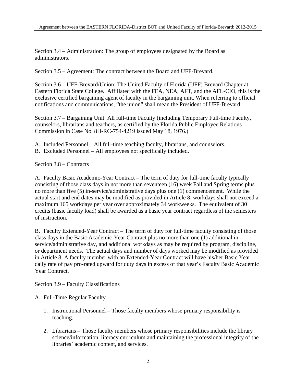Section 3.4 – Administration: The group of employees designated by the Board as administrators.

Section 3.5 – Agreement: The contract between the Board and UFF-Brevard.

Section 3.6 – UFF-Brevard/Union: The United Faculty of Florida (UFF) Brevard Chapter at Eastern Florida State College. Affiliated with the FEA, NEA, AFT, and the AFL-CIO, this is the exclusive certified bargaining agent of faculty in the bargaining unit. When referring to official notifications and communications, "the union" shall mean the President of UFF-Brevard.

Section 3.7 – Bargaining Unit: All full-time Faculty (including Temporary Full-time Faculty, counselors, librarians and teachers, as certified by the Florida Public Employee Relations Commission in Case No. 8H-RC-754-4219 issued May 18, 1976.)

- A. Included Personnel All full-time teaching faculty, librarians, and counselors.
- B. Excluded Personnel All employees not specifically included.

Section 3.8 – Contracts

A. Faculty Basic Academic-Year Contract – The term of duty for full-time faculty typically consisting of those class days in not more than seventeen (16) week Fall and Spring terms plus no more than five (5) in-service/administrative days plus one (1) commencement. While the actual start and end dates may be modified as provided in Article 8, workdays shall not exceed a maximum 165 workdays per year over approximately 34 workweeks. The equivalent of 30 credits (basic faculty load) shall be awarded as a basic year contract regardless of the semesters of instruction.

B. Faculty Extended-Year Contract – The term of duty for full-time faculty consisting of those class days in the Basic Academic-Year Contract plus no more than one (1) additional inservice/administrative day, and additional workdays as may be required by program, discipline, or department needs. The actual days and number of days worked may be modified as provided in Article 8. A faculty member with an Extended-Year Contract will have his/her Basic Year daily rate of pay pro-rated upward for duty days in excess of that year's Faculty Basic Academic Year Contract.

Section 3.9 – Faculty Classifications

#### A. Full-Time Regular Faculty

- 1. Instructional Personnel Those faculty members whose primary responsibility is teaching.
- 2. Librarians Those faculty members whose primary responsibilities include the library science/information, literacy curriculum and maintaining the professional integrity of the libraries' academic content, and services.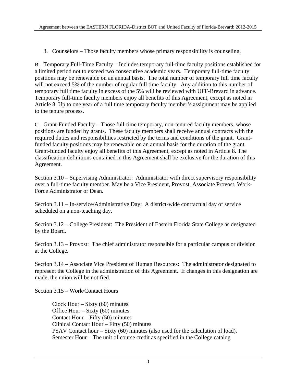3. Counselors – Those faculty members whose primary responsibility is counseling.

B. Temporary Full-Time Faculty – Includes temporary full-time faculty positions established for a limited period not to exceed two consecutive academic years. Temporary full-time faculty positions may be renewable on an annual basis. The total number of temporary full time faculty will not exceed 5% of the number of regular full time faculty. Any addition to this number of temporary full time faculty in excess of the 5% will be reviewed with UFF-Brevard in advance. Temporary full-time faculty members enjoy all benefits of this Agreement, except as noted in Article 8. Up to one year of a full time temporary faculty member's assignment may be applied to the tenure process.

C. Grant-Funded Faculty – Those full-time temporary, non-tenured faculty members, whose positions are funded by grants. These faculty members shall receive annual contracts with the required duties and responsibilities restricted by the terms and conditions of the grant. Grantfunded faculty positions may be renewable on an annual basis for the duration of the grant. Grant-funded faculty enjoy all benefits of this Agreement, except as noted in Article 8. The classification definitions contained in this Agreement shall be exclusive for the duration of this Agreement.

Section 3.10 – Supervising Administrator: Administrator with direct supervisory responsibility over a full-time faculty member. May be a Vice President, Provost, Associate Provost, Work-Force Administrator or Dean.

Section 3.11 – In-service/Administrative Day: A district-wide contractual day of service scheduled on a non-teaching day.

Section 3.12 – College President: The President of Eastern Florida State College as designated by the Board.

Section 3.13 – Provost: The chief administrator responsible for a particular campus or division at the College.

Section 3.14 – Associate Vice President of Human Resources: The administrator designated to represent the College in the administration of this Agreement. If changes in this designation are made, the union will be notified.

Section 3.15 – Work/Contact Hours

Clock Hour – Sixty  $(60)$  minutes Office Hour – Sixty (60) minutes Contact Hour – Fifty (50) minutes Clinical Contact Hour – Fifty (50) minutes PSAV Contact hour – Sixty (60) minutes (also used for the calculation of load). Semester Hour – The unit of course credit as specified in the College catalog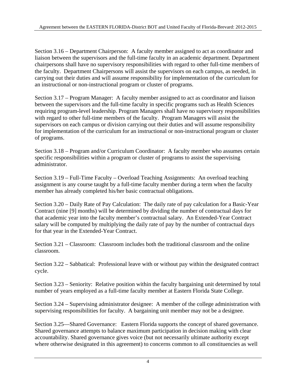Section 3.16 – Department Chairperson: A faculty member assigned to act as coordinator and liaison between the supervisors and the full-time faculty in an academic department. Department chairpersons shall have no supervisory responsibilities with regard to other full-time members of the faculty. Department Chairpersons will assist the supervisors on each campus, as needed, in carrying out their duties and will assume responsibility for implementation of the curriculum for an instructional or non-instructional program or cluster of programs.

Section 3.17 – Program Manager: A faculty member assigned to act as coordinator and liaison between the supervisors and the full-time faculty in specific programs such as Health Sciences requiring program-level leadership. Program Managers shall have no supervisory responsibilities with regard to other full-time members of the faculty. Program Managers will assist the supervisors on each campus or division carrying out their duties and will assume responsibility for implementation of the curriculum for an instructional or non-instructional program or cluster of programs.

Section 3.18 – Program and/or Curriculum Coordinator: A faculty member who assumes certain specific responsibilities within a program or cluster of programs to assist the supervising administrator.

Section 3.19 – Full-Time Faculty – Overload Teaching Assignments: An overload teaching assignment is any course taught by a full-time faculty member during a term when the faculty member has already completed his/her basic contractual obligations.

Section 3.20 – Daily Rate of Pay Calculation: The daily rate of pay calculation for a Basic-Year Contract (nine [9] months) will be determined by dividing the number of contractual days for that academic year into the faculty member's contractual salary. An Extended-Year Contract salary will be computed by multiplying the daily rate of pay by the number of contractual days for that year in the Extended-Year Contract.

Section 3.21 – Classroom: Classroom includes both the traditional classroom and the online classroom.

Section 3.22 – Sabbatical: Professional leave with or without pay within the designated contract cycle.

Section 3.23 – Seniority: Relative position within the faculty bargaining unit determined by total number of years employed as a full-time faculty member at Eastern Florida State College.

Section 3.24 – Supervising administrator designee: A member of the college administration with supervising responsibilities for faculty. A bargaining unit member may not be a designee.

Section 3.25—Shared Governance: Eastern Florida supports the concept of shared governance. Shared governance attempts to balance maximum participation in decision making with clear accountability. Shared governance gives voice (but not necessarily ultimate authority except where otherwise designated in this agreement) to concerns common to all constituencies as well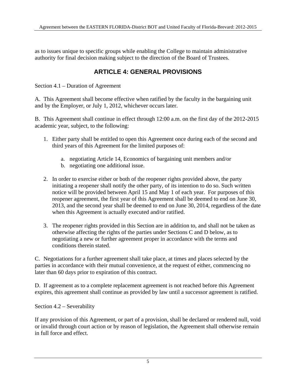as to issues unique to specific groups while enabling the College to maintain administrative authority for final decision making subject to the direction of the Board of Trustees.

### **ARTICLE 4: GENERAL PROVISIONS**

Section 4.1 – Duration of Agreement

A. This Agreement shall become effective when ratified by the faculty in the bargaining unit and by the Employer, or July 1, 2012, whichever occurs later.

B. This Agreement shall continue in effect through 12:00 a.m. on the first day of the 2012-2015 academic year, subject, to the following:

- 1. Either party shall be entitled to open this Agreement once during each of the second and third years of this Agreement for the limited purposes of:
	- a. negotiating Article 14, Economics of bargaining unit members and/or
	- b. negotiating one additional issue.
- 2. In order to exercise either or both of the reopener rights provided above, the party initiating a reopener shall notify the other party, of its intention to do so. Such written notice will be provided between April 15 and May 1 of each year. For purposes of this reopener agreement, the first year of this Agreement shall be deemed to end on June 30, 2013, and the second year shall be deemed to end on June 30, 2014, regardless of the date when this Agreement is actually executed and/or ratified.
- 3. The reopener rights provided in this Section are in addition to, and shall not be taken as otherwise affecting the rights of the parties under Sections C and D below, as to negotiating a new or further agreement proper in accordance with the terms and conditions therein stated.

C. Negotiations for a further agreement shall take place, at times and places selected by the parties in accordance with their mutual convenience, at the request of either, commencing no later than 60 days prior to expiration of this contract.

D. If agreement as to a complete replacement agreement is not reached before this Agreement expires, this agreement shall continue as provided by law until a successor agreement is ratified.

Section 4.2 – Severability

If any provision of this Agreement, or part of a provision, shall be declared or rendered null, void or invalid through court action or by reason of legislation, the Agreement shall otherwise remain in full force and effect.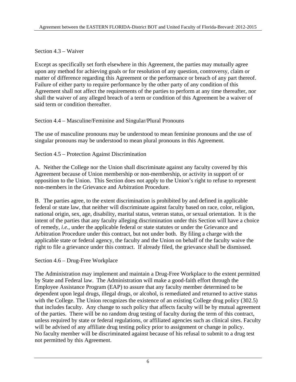#### Section 4.3 – Waiver

Except as specifically set forth elsewhere in this Agreement, the parties may mutually agree upon any method for achieving goals or for resolution of any question, controversy, claim or matter of difference regarding this Agreement or the performance or breach of any part thereof. Failure of either party to require performance by the other party of any condition of this Agreement shall not affect the requirements of the parties to perform at any time thereafter, nor shall the waiver of any alleged breach of a term or condition of this Agreement be a waiver of said term or condition thereafter.

Section 4.4 – Masculine/Feminine and Singular/Plural Pronouns

The use of masculine pronouns may be understood to mean feminine pronouns and the use of singular pronouns may be understood to mean plural pronouns in this Agreement.

Section 4.5 – Protection Against Discrimination

A. Neither the College nor the Union shall discriminate against any faculty covered by this Agreement because of Union membership or non-membership, or activity in support of or opposition to the Union. This Section does not apply to the Union's right to refuse to represent non-members in the Grievance and Arbitration Procedure.

B. The parties agree, to the extent discrimination is prohibited by and defined in applicable federal or state law, that neither will discriminate against faculty based on race, color, religion, national origin, sex, age, disability, marital status, veteran status, or sexual orientation. It is the intent of the parties that any faculty alleging discrimination under this Section will have a choice of remedy, *i.e.*, under the applicable federal or state statutes or under the Grievance and Arbitration Procedure under this contract, but not under both. By filing a charge with the applicable state or federal agency, the faculty and the Union on behalf of the faculty waive the right to file a grievance under this contract. If already filed, the grievance shall be dismissed.

Section 4.6 – Drug-Free Workplace

The Administration may implement and maintain a Drug-Free Workplace to the extent permitted by State and Federal law. The Administration will make a good-faith effort through the Employee Assistance Program (EAP) to assure that any faculty member determined to be dependent upon legal drugs, illegal drugs, or alcohol, is remediated and returned to active status with the College. The Union recognizes the existence of an existing College drug policy (302.5) that includes faculty. Any change to such policy that affects faculty will be by mutual agreement of the parties. There will be no random drug testing of faculty during the term of this contract, unless required by state or federal regulations, or affiliated agencies such as clinical sites. Faculty will be advised of any affiliate drug testing policy prior to assignment or change in policy. No faculty member will be discriminated against because of his refusal to submit to a drug test not permitted by this Agreement.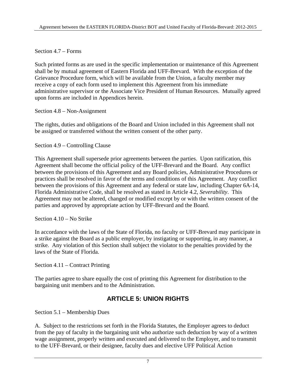#### Section 4.7 – Forms

Such printed forms as are used in the specific implementation or maintenance of this Agreement shall be by mutual agreement of Eastern Florida and UFF-Brevard. With the exception of the Grievance Procedure form, which will be available from the Union, a faculty member may receive a copy of each form used to implement this Agreement from his immediate administrative supervisor or the Associate Vice President of Human Resources. Mutually agreed upon forms are included in Appendices herein.

#### Section 4.8 – Non-Assignment

The rights, duties and obligations of the Board and Union included in this Agreement shall not be assigned or transferred without the written consent of the other party.

#### Section 4.9 – Controlling Clause

This Agreement shall supersede prior agreements between the parties. Upon ratification, this Agreement shall become the official policy of the UFF-Brevard and the Board. Any conflict between the provisions of this Agreement and any Board policies, Administrative Procedures or practices shall be resolved in favor of the terms and conditions of this Agreement. Any conflict between the provisions of this Agreement and any federal or state law, including Chapter 6A-14, Florida Administrative Code, shall be resolved as stated in Article 4.2, *Severability*. This Agreement may not be altered, changed or modified except by or with the written consent of the parties and approved by appropriate action by UFF-Brevard and the Board.

Section 4.10 – No Strike

In accordance with the laws of the State of Florida, no faculty or UFF-Brevard may participate in a strike against the Board as a public employer, by instigating or supporting, in any manner, a strike. Any violation of this Section shall subject the violator to the penalties provided by the laws of the State of Florida.

Section 4.11 – Contract Printing

The parties agree to share equally the cost of printing this Agreement for distribution to the bargaining unit members and to the Administration.

## **ARTICLE 5: UNION RIGHTS**

Section 5.1 – Membership Dues

A. Subject to the restrictions set forth in the Florida Statutes, the Employer agrees to deduct from the pay of faculty in the bargaining unit who authorize such deduction by way of a written wage assignment, properly written and executed and delivered to the Employer, and to transmit to the UFF-Brevard, or their designee, faculty dues and elective UFF Political Action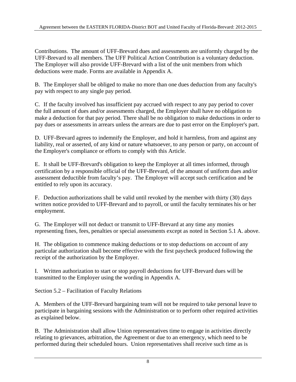Contributions. The amount of UFF-Brevard dues and assessments are uniformly charged by the UFF-Brevard to all members. The UFF Political Action Contribution is a voluntary deduction. The Employer will also provide UFF-Brevard with a list of the unit members from which deductions were made. Forms are available in Appendix A.

B. The Employer shall be obliged to make no more than one dues deduction from any faculty's pay with respect to any single pay period.

C. If the faculty involved has insufficient pay accrued with respect to any pay period to cover the full amount of dues and/or assessments charged, the Employer shall have no obligation to make a deduction for that pay period. There shall be no obligation to make deductions in order to pay dues or assessments in arrears unless the arrears are due to past error on the Employer's part.

D. UFF-Brevard agrees to indemnify the Employer, and hold it harmless, from and against any liability, real or asserted, of any kind or nature whatsoever, to any person or party, on account of the Employer's compliance or efforts to comply with this Article.

E. It shall be UFF-Brevard's obligation to keep the Employer at all times informed, through certification by a responsible official of the UFF-Brevard, of the amount of uniform dues and/or assessment deductible from faculty's pay. The Employer will accept such certification and be entitled to rely upon its accuracy.

F. Deduction authorizations shall be valid until revoked by the member with thirty (30) days written notice provided to UFF-Brevard and to payroll, or until the faculty terminates his or her employment.

G. The Employer will not deduct or transmit to UFF-Brevard at any time any monies representing fines, fees, penalties or special assessments except as noted in Section 5.1 A. above.

H. The obligation to commence making deductions or to stop deductions on account of any particular authorization shall become effective with the first paycheck produced following the receipt of the authorization by the Employer.

I. Written authorization to start or stop payroll deductions for UFF-Brevard dues will be transmitted to the Employer using the wording in Appendix A.

Section 5.2 – Facilitation of Faculty Relations

A. Members of the UFF-Brevard bargaining team will not be required to take personal leave to participate in bargaining sessions with the Administration or to perform other required activities as explained below.

B. The Administration shall allow Union representatives time to engage in activities directly relating to grievances, arbitration, the Agreement or due to an emergency, which need to be performed during their scheduled hours. Union representatives shall receive such time as is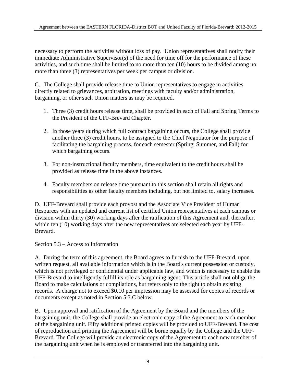necessary to perform the activities without loss of pay. Union representatives shall notify their immediate Administrative Supervisor(s) of the need for time off for the performance of these activities, and such time shall be limited to no more than ten (10) hours to be divided among no more than three (3) representatives per week per campus or division.

C. The College shall provide release time to Union representatives to engage in activities directly related to grievances, arbitration, meetings with faculty and/or administration, bargaining, or other such Union matters as may be required.

- 1. Three (3) credit hours release time, shall be provided in each of Fall and Spring Terms to the President of the UFF-Brevard Chapter.
- 2. In those years during which full contract bargaining occurs, the College shall provide another three (3) credit hours, to be assigned to the Chief Negotiator for the purpose of facilitating the bargaining process, for each semester (Spring, Summer, and Fall) for which bargaining occurs.
- 3. For non-instructional faculty members, time equivalent to the credit hours shall be provided as release time in the above instances.
- 4. Faculty members on release time pursuant to this section shall retain all rights and responsibilities as other faculty members including, but not limited to, salary increases.

D. UFF-Brevard shall provide each provost and the Associate Vice President of Human Resources with an updated and current list of certified Union representatives at each campus or division within thirty (30) working days after the ratification of this Agreement and, thereafter, within ten (10) working days after the new representatives are selected each year by UFF-Brevard.

Section 5.3 – Access to Information

A. During the term of this agreement, the Board agrees to furnish to the UFF-Brevard, upon written request, all available information which is in the Board's current possession or custody, which is not privileged or confidential under applicable law, and which is necessary to enable the UFF-Brevard to intelligently fulfill its role as bargaining agent. This article shall not oblige the Board to make calculations or compilations, but refers only to the right to obtain existing records. A charge not to exceed \$0.10 per impression may be assessed for copies of records or documents except as noted in Section 5.3.C below.

B. Upon approval and ratification of the Agreement by the Board and the members of the bargaining unit, the College shall provide an electronic copy of the Agreement to each member of the bargaining unit. Fifty additional printed copies will be provided to UFF-Brevard. The cost of reproduction and printing the Agreement will be borne equally by the College and the UFF-Brevard. The College will provide an electronic copy of the Agreement to each new member of the bargaining unit when he is employed or transferred into the bargaining unit.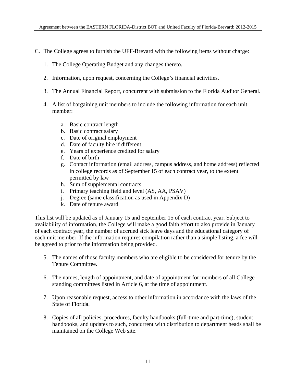- C. The College agrees to furnish the UFF-Brevard with the following items without charge:
	- 1. The College Operating Budget and any changes thereto.
	- 2. Information, upon request, concerning the College's financial activities.
	- 3. The Annual Financial Report, concurrent with submission to the Florida Auditor General.
	- 4. A list of bargaining unit members to include the following information for each unit member:
		- a. Basic contract length
		- b. Basic contract salary
		- c. Date of original employment
		- d. Date of faculty hire if different
		- e. Years of experience credited for salary
		- f. Date of birth
		- g. Contact information (email address, campus address, and home address) reflected in college records as of September 15 of each contract year, to the extent permitted by law
		- h. Sum of supplemental contracts
		- i. Primary teaching field and level (AS, AA, PSAV)
		- j. Degree (same classification as used in Appendix D)
		- k. Date of tenure award

This list will be updated as of January 15 and September 15 of each contract year. Subject to availability of information, the College will make a good faith effort to also provide in January of each contract year, the number of accrued sick leave days and the educational category of each unit member. If the information requires compilation rather than a simple listing, a fee will be agreed to prior to the information being provided.

- 5. The names of those faculty members who are eligible to be considered for tenure by the Tenure Committee.
- 6. The names, length of appointment, and date of appointment for members of all College standing committees listed in Article 6, at the time of appointment.
- 7. Upon reasonable request, access to other information in accordance with the laws of the State of Florida.
- 8. Copies of all policies, procedures, faculty handbooks (full-time and part-time), student handbooks, and updates to such, concurrent with distribution to department heads shall be maintained on the College Web site.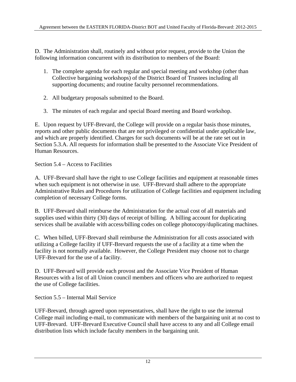D. The Administration shall, routinely and without prior request, provide to the Union the following information concurrent with its distribution to members of the Board:

- 1. The complete agenda for each regular and special meeting and workshop (other than Collective bargaining workshops) of the District Board of Trustees including all supporting documents; and routine faculty personnel recommendations.
- 2. All budgetary proposals submitted to the Board.
- 3. The minutes of each regular and special Board meeting and Board workshop.

E. Upon request by UFF-Brevard, the College will provide on a regular basis those minutes, reports and other public documents that are not privileged or confidential under applicable law, and which are properly identified. Charges for such documents will be at the rate set out in Section 5.3.A. All requests for information shall be presented to the Associate Vice President of Human Resources.

Section 5.4 – Access to Facilities

A. UFF-Brevard shall have the right to use College facilities and equipment at reasonable times when such equipment is not otherwise in use. UFF-Brevard shall adhere to the appropriate Administrative Rules and Procedures for utilization of College facilities and equipment including completion of necessary College forms.

B. UFF-Brevard shall reimburse the Administration for the actual cost of all materials and supplies used within thirty (30) days of receipt of billing. A billing account for duplicating services shall be available with access/billing codes on college photocopy/duplicating machines.

C. When billed, UFF-Brevard shall reimburse the Administration for all costs associated with utilizing a College facility if UFF-Brevard requests the use of a facility at a time when the facility is not normally available. However, the College President may choose not to charge UFF-Brevard for the use of a facility.

D. UFF-Brevard will provide each provost and the Associate Vice President of Human Resources with a list of all Union council members and officers who are authorized to request the use of College facilities.

Section 5.5 – Internal Mail Service

UFF-Brevard, through agreed upon representatives, shall have the right to use the internal College mail including e-mail, to communicate with members of the bargaining unit at no cost to UFF-Brevard. UFF-Brevard Executive Council shall have access to any and all College email distribution lists which include faculty members in the bargaining unit.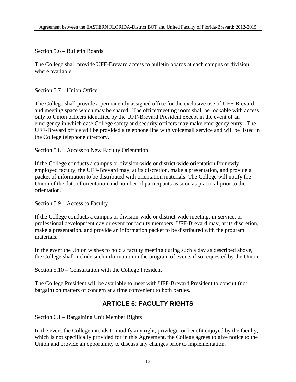Section 5.6 – Bulletin Boards

The College shall provide UFF-Brevard access to bulletin boards at each campus or division where available.

Section 5.7 – Union Office

The College shall provide a permanently assigned office for the exclusive use of UFF-Brevard, and meeting space which may be shared. The office/meeting room shall be lockable with access only to Union officers identified by the UFF-Brevard President except in the event of an emergency in which case College safety and security officers may make emergency entry. The UFF-Brevard office will be provided a telephone line with voicemail service and will be listed in the College telephone directory.

Section 5.8 – Access to New Faculty Orientation

If the College conducts a campus or division-wide or district-wide orientation for newly employed faculty, the UFF-Brevard may, at its discretion, make a presentation, and provide a packet of information to be distributed with orientation materials. The College will notify the Union of the date of orientation and number of participants as soon as practical prior to the orientation.

Section 5.9 – Access to Faculty

If the College conducts a campus or division-wide or district-wide meeting, in-service, or professional development day or event for faculty members, UFF-Brevard may, at its discretion, make a presentation, and provide an information packet to be distributed with the program materials.

In the event the Union wishes to hold a faculty meeting during such a day as described above, the College shall include such information in the program of events if so requested by the Union.

Section 5.10 – Consultation with the College President

The College President will be available to meet with UFF-Brevard President to consult (not bargain) on matters of concern at a time convenient to both parties.

## **ARTICLE 6: FACULTY RIGHTS**

Section 6.1 – Bargaining Unit Member Rights

In the event the College intends to modify any right, privilege, or benefit enjoyed by the faculty, which is not specifically provided for in this Agreement, the College agrees to give notice to the Union and provide an opportunity to discuss any changes prior to implementation.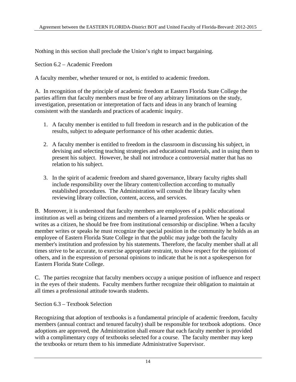Nothing in this section shall preclude the Union's right to impact bargaining.

#### Section 6.2 – Academic Freedom

A faculty member, whether tenured or not, is entitled to academic freedom.

A. In recognition of the principle of academic freedom at Eastern Florida State College the parties affirm that faculty members must be free of any arbitrary limitations on the study, investigation, presentation or interpretation of facts and ideas in any branch of learning consistent with the standards and practices of academic inquiry.

- 1. A faculty member is entitled to full freedom in research and in the publication of the results, subject to adequate performance of his other academic duties.
- 2. A faculty member is entitled to freedom in the classroom in discussing his subject, in devising and selecting teaching strategies and educational materials, and in using them to present his subject. However, he shall not introduce a controversial matter that has no relation to his subject.
- 3. In the spirit of academic freedom and shared governance, library faculty rights shall include responsibility over the library content/collection according to mutually established procedures. The Administration will consult the library faculty when reviewing library collection, content, access, and services.

B. Moreover, it is understood that faculty members are employees of a public educational institution as well as being citizens and members of a learned profession. When he speaks or writes as a citizen, he should be free from institutional censorship or discipline. When a faculty member writes or speaks he must recognize the special position in the community he holds as an employee of Eastern Florida State College in that the public may judge both the faculty member's institution and profession by his statements. Therefore, the faculty member shall at all times strive to be accurate, to exercise appropriate restraint, to show respect for the opinions of others, and in the expression of personal opinions to indicate that he is not a spokesperson for Eastern Florida State College.

C. The parties recognize that faculty members occupy a unique position of influence and respect in the eyes of their students. Faculty members further recognize their obligation to maintain at all times a professional attitude towards students.

Section 6.3 – Textbook Selection

Recognizing that adoption of textbooks is a fundamental principle of academic freedom, faculty members (annual contract and tenured faculty) shall be responsible for textbook adoptions. Once adoptions are approved, the Administration shall ensure that each faculty member is provided with a complimentary copy of textbooks selected for a course. The faculty member may keep the textbooks or return them to his immediate Administrative Supervisor.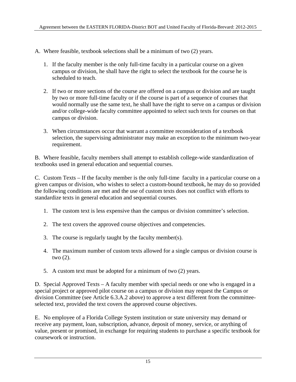- A. Where feasible, textbook selections shall be a minimum of two (2) years.
	- 1. If the faculty member is the only full-time faculty in a particular course on a given campus or division, he shall have the right to select the textbook for the course he is scheduled to teach.
	- 2. If two or more sections of the course are offered on a campus or division and are taught by two or more full-time faculty or if the course is part of a sequence of courses that would normally use the same text, he shall have the right to serve on a campus or division and/or college-wide faculty committee appointed to select such texts for courses on that campus or division.
	- 3. When circumstances occur that warrant a committee reconsideration of a textbook selection, the supervising administrator may make an exception to the minimum two-year requirement.

B. Where feasible, faculty members shall attempt to establish college-wide standardization of textbooks used in general education and sequential courses.

C. Custom Texts – If the faculty member is the only full-time faculty in a particular course on a given campus or division, who wishes to select a custom-bound textbook, he may do so provided the following conditions are met and the use of custom texts does not conflict with efforts to standardize texts in general education and sequential courses.

- 1. The custom text is less expensive than the campus or division committee's selection.
- 2. The text covers the approved course objectives and competencies.
- 3. The course is regularly taught by the faculty member(s).
- 4. The maximum number of custom texts allowed for a single campus or division course is two (2).
- 5. A custom text must be adopted for a minimum of two (2) years.

D. Special Approved Texts – A faculty member with special needs or one who is engaged in a special project or approved pilot course on a campus or division may request the Campus or division Committee (see Article 6.3.A.2 above) to approve a text different from the committeeselected text, provided the text covers the approved course objectives.

E. No employee of a Florida College System institution or state university may demand or receive any payment, loan, subscription, advance, deposit of money, service, or anything of value, present or promised, in exchange for requiring students to purchase a specific textbook for coursework or instruction.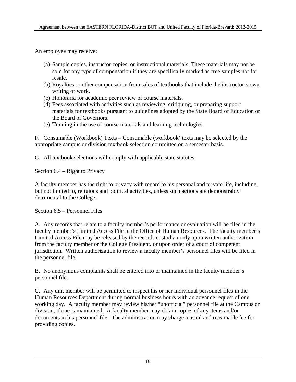An employee may receive:

- (a) Sample copies, instructor copies, or instructional materials. These materials may not be sold for any type of compensation if they are specifically marked as free samples not for resale.
- (b) Royalties or other compensation from sales of textbooks that include the instructor's own writing or work.
- (c) Honoraria for academic peer review of course materials.
- (d) Fees associated with activities such as reviewing, critiquing, or preparing support materials for textbooks pursuant to guidelines adopted by the State Board of Education or the Board of Governors.
- (e) Training in the use of course materials and learning technologies.

F. Consumable (Workbook) Texts – Consumable (workbook) texts may be selected by the appropriate campus or division textbook selection committee on a semester basis.

G. All textbook selections will comply with applicable state statutes.

Section 6.4 – Right to Privacy

A faculty member has the right to privacy with regard to his personal and private life, including, but not limited to, religious and political activities, unless such actions are demonstrably detrimental to the College.

Section 6.5 – Personnel Files

A. Any records that relate to a faculty member's performance or evaluation will be filed in the faculty member's Limited Access File in the Office of Human Resources. The faculty member's Limited Access File may be released by the records custodian only upon written authorization from the faculty member or the College President, or upon order of a court of competent jurisdiction. Written authorization to review a faculty member's personnel files will be filed in the personnel file.

B. No anonymous complaints shall be entered into or maintained in the faculty member's personnel file.

C. Any unit member will be permitted to inspect his or her individual personnel files in the Human Resources Department during normal business hours with an advance request of one working day. A faculty member may review his/her "unofficial" personnel file at the Campus or division, if one is maintained. A faculty member may obtain copies of any items and/or documents in his personnel file. The administration may charge a usual and reasonable fee for providing copies.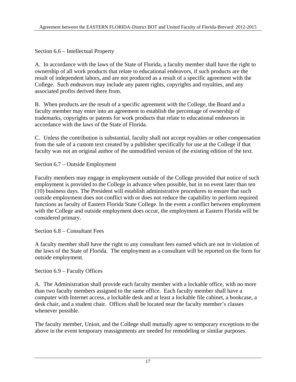Section 6.6 – Intellectual Property

A. In accordance with the laws of the State of Florida, a faculty member shall have the right to ownership of all work products that relate to educational endeavors, if such products are the result of independent labors, and are not produced as a result of a specific agreement with the College. Such endeavors may include any patent rights, copyrights and royalties, and any associated profits derived there from.

B. When products are the result of a specific agreement with the College, the Board and a faculty member may enter into an agreement to establish the percentage of ownership of trademarks, copyrights or patents for work products that relate to educational endeavors in accordance with the laws of the State of Florida.

C. Unless the contribution is substantial, faculty shall not accept royalties or other compensation from the sale of a custom text created by a publisher specifically for use at the College if that faculty was not an original author of the unmodified version of the existing edition of the text.

Section 6.7 – Outside Employment

Faculty members may engage in employment outside of the College provided that notice of such employment is provided to the College in advance when possible, but in no event later than ten (10) business days. The President will establish administrative procedures to ensure that such outside employment does not conflict with or does not reduce the capability to perform required functions as faculty of Eastern Florida State College. In the event a conflict between employment with the College and outside employment does occur, the employment at Eastern Florida will be considered primary.

Section 6.8 – Consultant Fees

A faculty member shall have the right to any consultant fees earned which are not in violation of the laws of the State of Florida. The employment as a consultant will be reported on the form for outside employment.

Section 6.9 – Faculty Offices

A. The Administration shall provide each faculty member with a lockable office, with no more than two faculty members assigned to the same office. Each faculty member shall have a computer with Internet access, a lockable desk and at least a lockable file cabinet, a bookcase, a desk chair, and a student chair. Offices shall be located near the faculty member's classes whenever possible.

The faculty member, Union, and the College shall mutually agree to temporary exceptions to the above in the event temporary reassignments are needed for remodeling or similar purposes.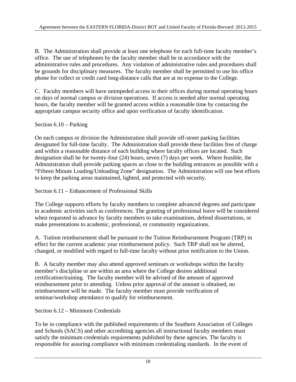B. The Administration shall provide at least one telephone for each full-time faculty member's office. The use of telephones by the faculty member shall be in accordance with the administrative rules and procedures. Any violation of administrative rules and procedures shall be grounds for disciplinary measures. The faculty member shall be permitted to use his office phone for collect or credit card long-distance calls that are at no expense to the College.

C. Faculty members will have unimpeded access to their offices during normal operating hours on days of normal campus or division operations. If access is needed after normal operating hours, the faculty member will be granted access within a reasonable time by contacting the appropriate campus security office and upon verification of faculty identification.

#### Section 6.10 – Parking

On each campus or division the Administration shall provide off-street parking facilities designated for full-time faculty. The Administration shall provide these facilities free of charge and within a reasonable distance of each building where faculty offices are located. Such designation shall be for twenty-four (24) hours, seven (7) days per week. Where feasible, the Administration shall provide parking spaces as close to the building entrances as possible with a "Fifteen Minute Loading/Unloading Zone" designation. The Administration will use best efforts to keep the parking areas maintained, lighted, and protected with security.

Section 6.11 – Enhancement of Professional Skills

The College supports efforts by faculty members to complete advanced degrees and participate in academic activities such as conferences. The granting of professional leave will be considered when requested in advance by faculty members to take examinations, defend dissertations, or make presentations to academic, professional, or community organizations.

A. Tuition reimbursement shall be pursuant to the Tuition Reimbursement Program (TRP) in effect for the current academic year reimbursement policy. Such TRP shall not be altered, changed, or modified with regard to full-time faculty without prior notification to the Union.

B. A faculty member may also attend approved seminars or workshops within the faculty member's discipline or are within an area where the College desires additional certification/training. The faculty member will be advised of the amount of approved reimbursement prior to attending. Unless prior approval of the amount is obtained, no reimbursement will be made. The faculty member must provide verification of seminar/workshop attendance to qualify for reimbursement.

Section 6.12 – Minimum Credentials

To be in compliance with the published requirements of the Southern Association of Colleges and Schools (SACS) and other accrediting agencies all instructional faculty members must satisfy the minimum credentials requirements published by these agencies. The faculty is responsible for assuring compliance with minimum credentialing standards. In the event of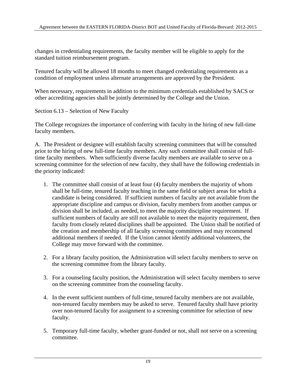changes in credentialing requirements, the faculty member will be eligible to apply for the standard tuition reimbursement program.

Tenured faculty will be allowed 18 months to meet changed credentialing requirements as a condition of employment unless alternate arrangements are approved by the President.

When necessary, requirements in addition to the minimum credentials established by SACS or other accrediting agencies shall be jointly determined by the College and the Union.

Section 6.13 – Selection of New Faculty

The College recognizes the importance of conferring with faculty in the hiring of new full-time faculty members.

A. The President or designee will establish faculty screening committees that will be consulted prior to the hiring of new full-time faculty members. Any such committee shall consist of fulltime faculty members. When sufficiently diverse faculty members are available to serve on a screening committee for the selection of new faculty, they shall have the following credentials in the priority indicated:

- 1. The committee shall consist of at least four (4) faculty members the majority of whom shall be full-time, tenured faculty teaching in the same field or subject areas for which a candidate is being considered. If sufficient numbers of faculty are not available from the appropriate discipline and campus or division, faculty members from another campus or division shall be included, as needed, to meet the majority discipline requirement. If sufficient numbers of faculty are still not available to meet the majority requirement, then faculty from closely related disciplines shall be appointed. The Union shall be notified of the creation and membership of all faculty screening committees and may recommend additional members if needed. If the Union cannot identify additional volunteers, the College may move forward with the committee.
- 2. For a library faculty position, the Administration will select faculty members to serve on the screening committee from the library faculty.
- 3. For a counseling faculty position, the Administration will select faculty members to serve on the screening committee from the counseling faculty.
- 4. In the event sufficient numbers of full-time, tenured faculty members are not available, non-tenured faculty members may be asked to serve. Tenured faculty shall have priority over non-tenured faculty for assignment to a screening committee for selection of new faculty.
- 5. Temporary full-time faculty, whether grant-funded or not, shall not serve on a screening committee.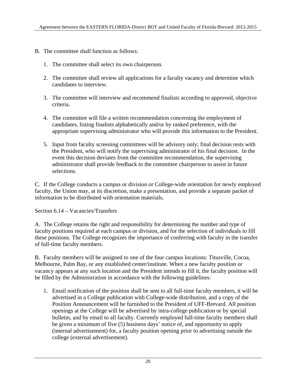- B. The committee shall function as follows:
	- 1. The committee shall select its own chairperson.
	- 2. The committee shall review all applications for a faculty vacancy and determine which candidates to interview.
	- 3. The committee will interview and recommend finalists according to approved, objective criteria.
	- 4. The committee will file a written recommendation concerning the employment of candidates, listing finalists alphabetically and/or by ranked preference, with the appropriate supervising administrator who will provide this information to the President.
	- 5. Input from faculty screening committees will be advisory only; final decision rests with the President, who will notify the supervising administrator of his final decision. In the event this decision deviates from the committee recommendation, the supervising administrator shall provide feedback to the committee chairperson to assist in future selections.

C. If the College conducts a campus or division or College-wide orientation for newly employed faculty, the Union may, at its discretion, make a presentation, and provide a separate packet of information to be distributed with orientation materials.

Section 6.14 – Vacancies/Transfers

A. The College retains the right and responsibility for determining the number and type of faculty positions required at each campus or division, and for the selection of individuals to fill these positions. The College recognizes the importance of conferring with faculty in the transfer of full-time faculty members.

B. Faculty members will be assigned to one of the four campus locations: Titusville, Cocoa, Melbourne, Palm Bay, or any established center/institute. When a new faculty position or vacancy appears at any such location and the President intends to fill it, the faculty position will be filled by the Administration in accordance with the following guidelines:

1. Email notification of the position shall be sent to all full-time faculty members, it will be advertised in a College publication with College-wide distribution, and a copy of the Position Announcement will be furnished to the President of UFF-Brevard. All position openings at the College will be advertised by intra-college publication or by special bulletin, and by email to all faculty. Currently employed full-time faculty members shall be given a minimum of five (5) business days' notice of, and opportunity to apply (internal advertisement) for, a faculty position opening prior to advertising outside the college (external advertisement).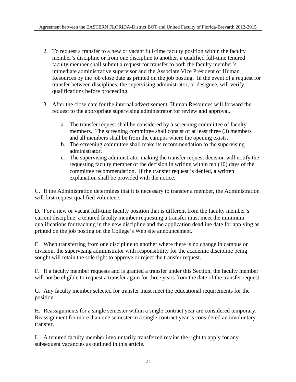- 2. To request a transfer to a new or vacant full-time faculty position within the faculty member's discipline or from one discipline to another, a qualified full-time tenured faculty member shall submit a request for transfer to both the faculty member's immediate administrative supervisor and the Associate Vice President of Human Resources by the job close date as printed on the job posting. In the event of a request for transfer between disciplines, the supervising administrator, or designee, will verify qualifications before proceeding.
- 3. After the close date for the internal advertisement, Human Resources will forward the request to the appropriate supervising administrator for review and approval.
	- a. The transfer request shall be considered by a screening committee of faculty members. The screening committee shall consist of at least three (3) members and all members shall be from the campus where the opening exists.
	- b. The screening committee shall make its recommendation to the supervising administrator.
	- c. The supervising administrator making the transfer request decision will notify the requesting faculty member of the decision in writing within ten (10) days of the committee recommendation. If the transfer request is denied, a written explanation shall be provided with the notice.

C. If the Administration determines that it is necessary to transfer a member, the Administration will first request qualified volunteers.

D. For a new or vacant full-time faculty position that is different from the faculty member's current discipline, a tenured faculty member requesting a transfer must meet the minimum qualifications for teaching in the new discipline and the application deadline date for applying as printed on the job posting on the College's Web site announcement.

E. When transferring from one discipline to another where there is no change in campus or division, the supervising administrator with responsibility for the academic discipline being sought will retain the sole right to approve or reject the transfer request.

F. If a faculty member requests and is granted a transfer under this Section, the faculty member will not be eligible to request a transfer again for three years from the date of the transfer request.

G. Any faculty member selected for transfer must meet the educational requirements for the position.

H. Reassignments for a single semester within a single contract year are considered temporary. Reassignment for more than one semester in a single contract year is considered an involuntary transfer.

I. A tenured faculty member involuntarily transferred retains the right to apply for any subsequent vacancies as outlined in this article.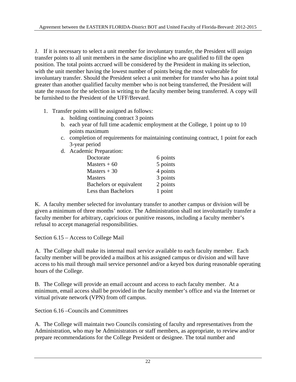J. If it is necessary to select a unit member for involuntary transfer, the President will assign transfer points to all unit members in the same discipline who are qualified to fill the open position. The total points accrued will be considered by the President in making its selection, with the unit member having the lowest number of points being the most vulnerable for involuntary transfer. Should the President select a unit member for transfer who has a point total greater than another qualified faculty member who is not being transferred, the President will state the reason for the selection in writing to the faculty member being transferred. A copy will be furnished to the President of the UFF/Brevard.

- 1. Transfer points will be assigned as follows:
	- a. holding continuing contract 3 points
	- b. each year of full time academic employment at the College, 1 point up to 10 points maximum
	- c. completion of requirements for maintaining continuing contract, 1 point for each 3-year period
	- d. Academic Preparation:

| Doctorate               | 6 points |
|-------------------------|----------|
| Masters $+60$           | 5 points |
| Masters $+30$           | 4 points |
| <b>Masters</b>          | 3 points |
| Bachelors or equivalent | 2 points |
| Less than Bachelors     | 1 point  |

K. A faculty member selected for involuntary transfer to another campus or division will be given a minimum of three months' notice. The Administration shall not involuntarily transfer a faculty member for arbitrary, capricious or punitive reasons, including a faculty member's refusal to accept managerial responsibilities.

Section 6.15 – Access to College Mail

A. The College shall make its internal mail service available to each faculty member. Each faculty member will be provided a mailbox at his assigned campus or division and will have access to his mail through mail service personnel and/or a keyed box during reasonable operating hours of the College.

B. The College will provide an email account and access to each faculty member. At a minimum, email access shall be provided in the faculty member's office and via the Internet or virtual private network (VPN) from off campus.

Section 6.16 –Councils and Committees

A. The College will maintain two Councils consisting of faculty and representatives from the Administration, who may be Administrators or staff members, as appropriate, to review and/or prepare recommendations for the College President or designee. The total number and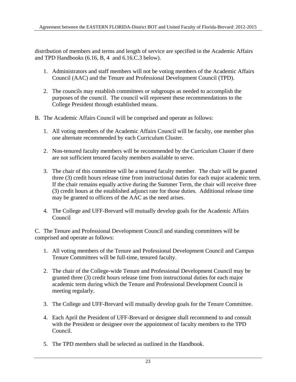distribution of members and terms and length of service are specified in the Academic Affairs and TPD Handbooks (6.16, B, 4 and 6.16.C.3 below).

- 1. Administrators and staff members will not be voting members of the Academic Affairs Council (AAC) and the Tenure and Professional Development Council (TPD).
- 2. The councils may establish committees or subgroups as needed to accomplish the purposes of the council. The council will represent these recommendations to the College President through established means.
- B. The Academic Affairs Council will be comprised and operate as follows:
	- 1. All voting members of the Academic Affairs Council will be faculty, one member plus one alternate recommended by each Curriculum Cluster.
	- 2. Non-tenured faculty members will be recommended by the Curriculum Cluster if there are not sufficient tenured faculty members available to serve.
	- 3. The chair of this committee will be a tenured faculty member. The chair will be granted three (3) credit hours release time from instructional duties for each major academic term. If the chair remains equally active during the Summer Term, the chair will receive three (3) credit hours at the established adjunct rate for those duties. Additional release time may be granted to officers of the AAC as the need arises.
	- 4. The College and UFF-Brevard will mutually develop goals for the Academic Affairs Council

C. The Tenure and Professional Development Council and standing committees will be comprised and operate as follows:

- 1. All voting members of the Tenure and Professional Development Council and Campus Tenure Committees will be full-time, tenured faculty.
- 2. The chair of the College-wide Tenure and Professional Development Council may be granted three (3) credit hours release time from instructional duties for each major academic term during which the Tenure and Professional Development Council is meeting regularly.
- 3. The College and UFF-Brevard will mutually develop goals for the Tenure Committee.
- 4. Each April the President of UFF-Brevard or designee shall recommend to and consult with the President or designee over the appointment of faculty members to the TPD Council.
- 5. The TPD members shall be selected as outlined in the Handbook.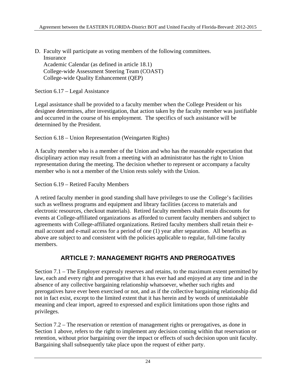D. Faculty will participate as voting members of the following committees. Insurance Academic Calendar (as defined in article 18.1) College-wide Assessment Steering Team (COAST) College-wide Quality Enhancement (QEP)

Section 6.17 – Legal Assistance

Legal assistance shall be provided to a faculty member when the College President or his designee determines, after investigation, that action taken by the faculty member was justifiable and occurred in the course of his employment. The specifics of such assistance will be determined by the President.

Section 6.18 – Union Representation (Weingarten Rights)

A faculty member who is a member of the Union and who has the reasonable expectation that disciplinary action may result from a meeting with an administrator has the right to Union representation during the meeting. The decision whether to represent or accompany a faculty member who is not a member of the Union rests solely with the Union.

Section 6.19 – Retired Faculty Members

A retired faculty member in good standing shall have privileges to use the College's facilities such as wellness programs and equipment and library facilities (access to materials and electronic resources, checkout materials). Retired faculty members shall retain discounts for events at College-affiliated organizations as afforded to current faculty members and subject to agreements with College-affiliated organizations. Retired faculty members shall retain their email account and e-mail access for a period of one (1) year after separation. All benefits as above are subject to and consistent with the policies applicable to regular, full-time faculty members.

### **ARTICLE 7: MANAGEMENT RIGHTS AND PREROGATIVES**

Section 7.1 – The Employer expressly reserves and retains, to the maximum extent permitted by law, each and every right and prerogative that it has ever had and enjoyed at any time and in the absence of any collective bargaining relationship whatsoever, whether such rights and prerogatives have ever been exercised or not, and as if the collective bargaining relationship did not in fact exist, except to the limited extent that it has herein and by words of unmistakable meaning and clear import, agreed to expressed and explicit limitations upon those rights and privileges.

Section 7.2 – The reservation or retention of management rights or prerogatives, as done in Section 1 above, refers to the right to implement any decision coming within that reservation or retention, without prior bargaining over the impact or effects of such decision upon unit faculty. Bargaining shall subsequently take place upon the request of either party.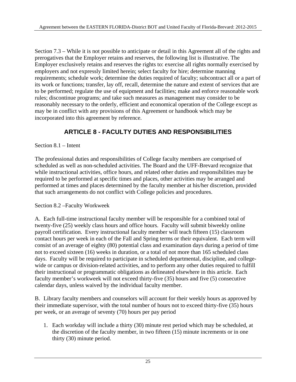Section 7.3 – While it is not possible to anticipate or detail in this Agreement all of the rights and prerogatives that the Employer retains and reserves, the following list is illustrative. The Employer exclusively retains and reserves the rights to: exercise all rights normally exercised by employers and not expressly limited herein; select faculty for hire; determine manning requirements; schedule work; determine the duties required of faculty; subcontract all or a part of its work or functions; transfer, lay off, recall, determine the nature and extent of services that are to be performed; regulate the use of equipment and facilities; make and enforce reasonable work rules; discontinue programs; and take such measures as management may consider to be reasonably necessary to the orderly, efficient and economical operation of the College except as may be in conflict with any provisions of this Agreement or handbook which may be incorporated into this agreement by reference.

## **ARTICLE 8 - FACULTY DUTIES AND RESPONSIBILITIES**

Section 8.1 – Intent

The professional duties and responsibilities of College faculty members are comprised of scheduled as well as non-scheduled activities. The Board and the UFF-Brevard recognize that while instructional activities, office hours, and related other duties and responsibilities may be required to be performed at specific times and places, other activities may be arranged and performed at times and places determined by the faculty member at his/her discretion, provided that such arrangements do not conflict with College policies and procedures.

#### Section 8.2 –Faculty Workweek

A. Each full-time instructional faculty member will be responsible for a combined total of twenty-five (25) weekly class hours and office hours. Faculty will submit biweekly online payroll certification. Every instructional faculty member will teach fifteen (15) classroom contact hours per week in each of the Fall and Spring terms or their equivalent. Each term will consist of an average of eighty (80) potential class and examination days during a period of time not to exceed sixteen (16) weeks in duration, or a total of not more than 165 scheduled class days. Faculty will be required to participate in scheduled departmental, discipline, and collegewide or campus or division-related activities, and to perform any other duties required to fulfill their instructional or programmatic obligations as delineated elsewhere in this article. Each faculty member's workweek will not exceed thirty-five (35) hours and five (5) consecutive calendar days, unless waived by the individual faculty member.

B. Library faculty members and counselors will account for their weekly hours as approved by their immediate supervisor, with the total number of hours not to exceed thirty-five (35) hours per week, or an average of seventy (70) hours per pay period

1. Each workday will include a thirty (30) minute rest period which may be scheduled, at the discretion of the faculty member, in two fifteen (15) minute increments or in one thirty (30) minute period.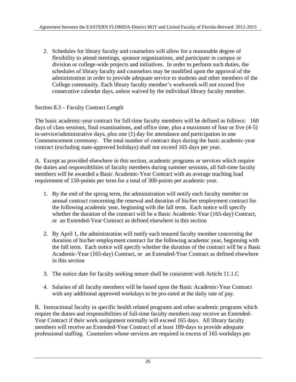2. Schedules for library faculty and counselors will allow for a reasonable degree of flexibility to attend meetings, sponsor organizations, and participate in campus or division or college-wide projects and initiatives. In order to perform such duties, the schedules of library faculty and counselors may be modified upon the approval of the administration in order to provide adequate service to students and other members of the College community. Each library faculty member's workweek will not exceed five consecutive calendar days, unless waived by the individual library faculty member.

#### Section 8.3 – Faculty Contract Length

The basic academic-year contract for full-time faculty members will be defined as follows: 160 days of class sessions, final examinations, and office time, plus a maximum of four or five (4-5) in-service/administrative days, plus one (1) day for attendance and participation in one Commencement ceremony. The total number of contract days during the basic academic-year contract (excluding state-approved holidays) shall not exceed 165 days per year.

A. Except as provided elsewhere in this section, academic programs or services which require the duties and responsibilities of faculty members during summer sessions, all full-time faculty members will be awarded a Basic Academic-Year Contract with an average teaching load requirement of 150-points per term for a total of 300-points per academic year.

- 1. By the end of the spring term, the administration will notify each faculty member on annual contract concerning the renewal and duration of his/her employment contract for the following academic year, beginning with the fall term. Each notice will specify whether the duration of the contract will be a Basic Academic-Year (165-day) Contract, or an Extended-Year Contract as defined elsewhere in this section
- 2. By April 1, the administration will notify each tenured faculty member concerning the duration of his/her employment contract for the following academic year, beginning with the fall term. Each notice will specify whether the duration of the contract will be a Basic Academic-Year (165-day) Contract, or an Extended-Year Contract as defined elsewhere in this section
- 3. The notice date for faculty seeking tenure shall be consistent with Article 11.1.C
- 4. Salaries of all faculty members will be based upon the Basic Academic-Year Contract with any additional approved workdays to be pro-rated at the daily rate of pay.

B. Instructional faculty in specific health related programs and other academic programs which require the duties and responsibilities of full-time faculty members may receive an Extended-Year Contract if their work assignment normally will exceed 165 days. All library faculty members will receive an Extended-Year Contract of at least 189-days to provide adequate professional staffing. Counselors whose services are required in excess of 165 workdays per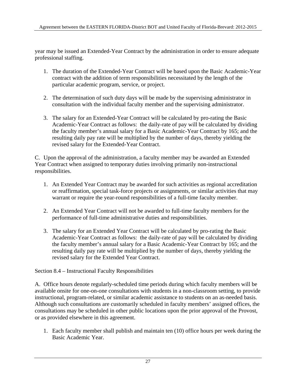year may be issued an Extended-Year Contract by the administration in order to ensure adequate professional staffing.

- 1. The duration of the Extended-Year Contract will be based upon the Basic Academic-Year contract with the addition of term responsibilities necessitated by the length of the particular academic program, service, or project.
- 2. The determination of such duty days will be made by the supervising administrator in consultation with the individual faculty member and the supervising administrator.
- 3. The salary for an Extended-Year Contract will be calculated by pro-rating the Basic Academic-Year Contract as follows: the daily-rate of pay will be calculated by dividing the faculty member's annual salary for a Basic Academic-Year Contract by 165; and the resulting daily pay rate will be multiplied by the number of days, thereby yielding the revised salary for the Extended-Year Contract.

C. Upon the approval of the administration, a faculty member may be awarded an Extended Year Contract when assigned to temporary duties involving primarily non-instructional responsibilities.

- 1. An Extended Year Contract may be awarded for such activities as regional accreditation or reaffirmation, special task-force projects or assignments, or similar activities that may warrant or require the year-round responsibilities of a full-time faculty member.
- 2. An Extended Year Contract will not be awarded to full-time faculty members for the performance of full-time administrative duties and responsibilities.
- 3. The salary for an Extended Year Contract will be calculated by pro-rating the Basic Academic-Year Contract as follows: the daily-rate of pay will be calculated by dividing the faculty member's annual salary for a Basic Academic-Year Contract by 165; and the resulting daily pay rate will be multiplied by the number of days, thereby yielding the revised salary for the Extended Year Contract.

Section 8.4 – Instructional Faculty Responsibilities

A. Office hours denote regularly-scheduled time periods during which faculty members will be available onsite for one-on-one consultations with students in a non-classroom setting, to provide instructional, program-related, or similar academic assistance to students on an as-needed basis. Although such consultations are customarily scheduled in faculty members' assigned offices, the consultations may be scheduled in other public locations upon the prior approval of the Provost, or as provided elsewhere in this agreement.

1. Each faculty member shall publish and maintain ten (10) office hours per week during the Basic Academic Year.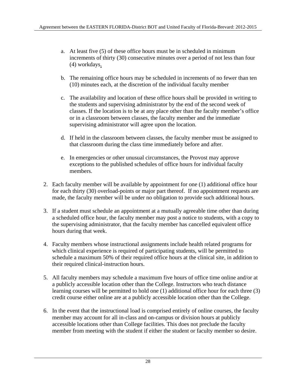- a. At least five (5) of these office hours must be in scheduled in minimum increments of thirty (30) consecutive minutes over a period of not less than four (4) workdays.
- b. The remaining office hours may be scheduled in increments of no fewer than ten (10) minutes each, at the discretion of the individual faculty member
- c. The availability and location of these office hours shall be provided in writing to the students and supervising administrator by the end of the second week of classes. If the location is to be at any place other than the faculty member's office or in a classroom between classes, the faculty member and the immediate supervising administrator will agree upon the location.
- d. If held in the classroom between classes, the faculty member must be assigned to that classroom during the class time immediately before and after.
- e. In emergencies or other unusual circumstances, the Provost may approve exceptions to the published schedules of office hours for individual faculty members.
- 2. Each faculty member will be available by appointment for one (1) additional office hour for each thirty (30) overload-points or major part thereof. If no appointment requests are made, the faculty member will be under no obligation to provide such additional hours.
- 3. If a student must schedule an appointment at a mutually agreeable time other than during a scheduled office hour, the faculty member may post a notice to students, with a copy to the supervising administrator, that the faculty member has cancelled equivalent office hours during that week.
- 4. Faculty members whose instructional assignments include health related programs for which clinical experience is required of participating students, will be permitted to schedule a maximum 50% of their required office hours at the clinical site, in addition to their required clinical-instruction hours.
- 5. All faculty members may schedule a maximum five hours of office time online and/or at a publicly accessible location other than the College. Instructors who teach distance learning courses will be permitted to hold one (1) additional office hour for each three (3) credit course either online are at a publicly accessible location other than the College.
- 6. In the event that the instructional load is comprised entirely of online courses, the faculty member may account for all in-class and on-campus or division hours at publicly accessible locations other than College facilities. This does not preclude the faculty member from meeting with the student if either the student or faculty member so desire.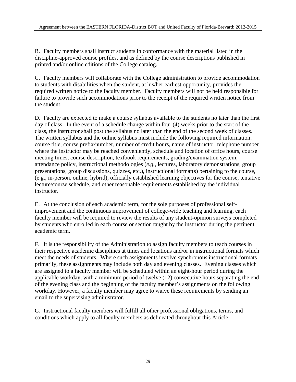B. Faculty members shall instruct students in conformance with the material listed in the discipline-approved course profiles, and as defined by the course descriptions published in printed and/or online editions of the College catalog.

C. Faculty members will collaborate with the College administration to provide accommodation to students with disabilities when the student, at his/her earliest opportunity, provides the required written notice to the faculty member. Faculty members will not be held responsible for failure to provide such accommodations prior to the receipt of the required written notice from the student.

D. Faculty are expected to make a course syllabus available to the students no later than the first day of class. In the event of a schedule change within four (4) weeks prior to the start of the class, the instructor shall post the syllabus no later than the end of the second week of classes. The written syllabus and the online syllabus must include the following required information: course title, course prefix/number, number of credit hours, name of instructor, telephone number where the instructor may be reached conveniently, schedule and location of office hours, course meeting times, course description, textbook requirements, grading/examination system, attendance policy, instructional methodologies (*e.g.*, lectures, laboratory demonstrations, group presentations, group discussions, quizzes, etc.), instructional format(s) pertaining to the course, (e.g., in-person, online, hybrid), officially established learning objectives for the course, tentative lecture/course schedule, and other reasonable requirements established by the individual instructor.

E. At the conclusion of each academic term, for the sole purposes of professional selfimprovement and the continuous improvement of college-wide teaching and learning, each faculty member will be required to review the results of any student-opinion surveys completed by students who enrolled in each course or section taught by the instructor during the pertinent academic term.

F. It is the responsibility of the Administration to assign faculty members to teach courses in their respective academic disciplines at times and locations and/or in instructional formats which meet the needs of students. Where such assignments involve synchronous instructional formats primarily, these assignments may include both day and evening classes. Evening classes which are assigned to a faculty member will be scheduled within an eight-hour period during the applicable workday, with a minimum period of twelve (12) consecutive hours separating the end of the evening class and the beginning of the faculty member's assignments on the following workday. However, a faculty member may agree to waive these requirements by sending an email to the supervising administrator.

G. Instructional faculty members will fulfill all other professional obligations, terms, and conditions which apply to all faculty members as delineated throughout this Article.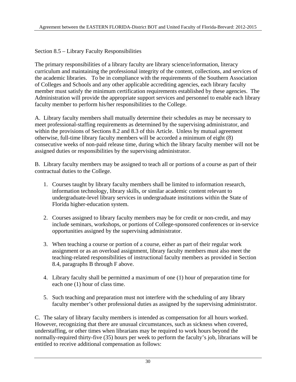#### Section 8.5 – Library Faculty Responsibilities

The primary responsibilities of a library faculty are library science/information, literacy curriculum and maintaining the professional integrity of the content, collections, and services of the academic libraries. To be in compliance with the requirements of the Southern Association of Colleges and Schools and any other applicable accrediting agencies, each library faculty member must satisfy the minimum certification requirements established by these agencies. The Administration will provide the appropriate support services and personnel to enable each library faculty member to perform his/her responsibilities to the College.

A. Library faculty members shall mutually determine their schedules as may be necessary to meet professional-staffing requirements as determined by the supervising administrator, and within the provisions of Sections 8.2 and 8.3 of this Article. Unless by mutual agreement otherwise, full-time library faculty members will be accorded a minimum of eight (8) consecutive weeks of non-paid release time, during which the library faculty member will not be assigned duties or responsibilities by the supervising administrator.

B. Library faculty members may be assigned to teach all or portions of a course as part of their contractual duties to the College.

- 1. Courses taught by library faculty members shall be limited to information research, information technology, library skills, or similar academic content relevant to undergraduate-level library services in undergraduate institutions within the State of Florida higher-education system.
- 2. Courses assigned to library faculty members may be for credit or non-credit, and may include seminars, workshops, or portions of College-sponsored conferences or in-service opportunities assigned by the supervising administrator.
- 3. When teaching a course or portion of a course, either as part of their regular work assignment or as an overload assignment, library faculty members must also meet the teaching-related responsibilities of instructional faculty members as provided in Section 8.4, paragraphs B through F above.
- 4. Library faculty shall be permitted a maximum of one (1) hour of preparation time for each one (1) hour of class time.
- 5. Such teaching and preparation must not interfere with the scheduling of any library faculty member's other professional duties as assigned by the supervising administrator.

C. The salary of library faculty members is intended as compensation for all hours worked. However, recognizing that there are unusual circumstances, such as sickness when covered, understaffing, or other times when librarians may be required to work hours beyond the normally-required thirty-five (35) hours per week to perform the faculty's job, librarians will be entitled to receive additional compensation as follows: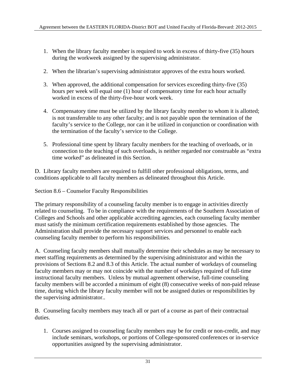- 1. When the library faculty member is required to work in excess of thirty-five (35) hours during the workweek assigned by the supervising administrator.
- 2. When the librarian's supervising administrator approves of the extra hours worked.
- 3. When approved, the additional compensation for services exceeding thirty-five (35) hours per week will equal one (1) hour of compensatory time for each hour actually worked in excess of the thirty-five-hour work week.
- 4. Compensatory time must be utilized by the library faculty member to whom it is allotted; is not transferrable to any other faculty; and is not payable upon the termination of the faculty's service to the College, nor can it be utilized in conjunction or coordination with the termination of the faculty's service to the College.
- 5. Professional time spent by library faculty members for the teaching of overloads, or in connection to the teaching of such overloads, is neither regarded nor construable as "extra time worked" as delineated in this Section.

D. Library faculty members are required to fulfill other professional obligations, terms, and conditions applicable to all faculty members as delineated throughout this Article.

Section 8.6 – Counselor Faculty Responsibilities

The primary responsibility of a counseling faculty member is to engage in activities directly related to counseling. To be in compliance with the requirements of the Southern Association of Colleges and Schools and other applicable accrediting agencies, each counseling faculty member must satisfy the minimum certification requirements established by those agencies. The Administration shall provide the necessary support services and personnel to enable each counseling faculty member to perform his responsibilities.

A. Counseling faculty members shall mutually determine their schedules as may be necessary to meet staffing requirements as determined by the supervising administrator and within the provisions of Sections 8.2 and 8.3 of this Article. The actual number of workdays of counseling faculty members may or may not coincide with the number of workdays required of full-time instructional faculty members. Unless by mutual agreement otherwise, full-time counseling faculty members will be accorded a minimum of eight (8) consecutive weeks of non-paid release time, during which the library faculty member will not be assigned duties or responsibilities by the supervising administrator..

B. Counseling faculty members may teach all or part of a course as part of their contractual duties.

1. Courses assigned to counseling faculty members may be for credit or non-credit, and may include seminars, workshops, or portions of College-sponsored conferences or in-service opportunities assigned by the supervising administrator.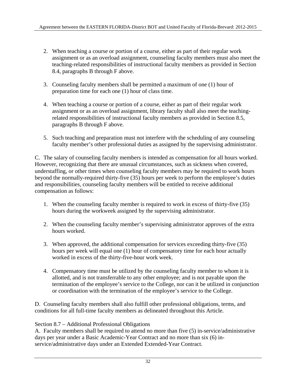- 2. When teaching a course or portion of a course, either as part of their regular work assignment or as an overload assignment, counseling faculty members must also meet the teaching-related responsibilities of instructional faculty members as provided in Section 8.4, paragraphs B through F above.
- 3. Counseling faculty members shall be permitted a maximum of one (1) hour of preparation time for each one (1) hour of class time.
- 4. When teaching a course or portion of a course, either as part of their regular work assignment or as an overload assignment, library faculty shall also meet the teachingrelated responsibilities of instructional faculty members as provided in Section 8.5, paragraphs B through F above.
- 5. Such teaching and preparation must not interfere with the scheduling of any counseling faculty member's other professional duties as assigned by the supervising administrator.

C. The salary of counseling faculty members is intended as compensation for all hours worked. However, recognizing that there are unusual circumstances, such as sickness when covered, understaffing, or other times when counseling faculty members may be required to work hours beyond the normally-required thirty-five (35) hours per week to perform the employee's duties and responsibilities, counseling faculty members will be entitled to receive additional compensation as follows:

- 1. When the counseling faculty member is required to work in excess of thirty-five (35) hours during the workweek assigned by the supervising administrator.
- 2. When the counseling faculty member's supervising administrator approves of the extra hours worked.
- 3. When approved, the additional compensation for services exceeding thirty-five (35) hours per week will equal one (1) hour of compensatory time for each hour actually worked in excess of the thirty-five-hour work week.
- 4. Compensatory time must be utilized by the counseling faculty member to whom it is allotted, and is not transferrable to any other employee; and is not payable upon the termination of the employee's service to the College, nor can it be utilized in conjunction or coordination with the termination of the employee's service to the College.

D. Counseling faculty members shall also fulfill other professional obligations, terms, and conditions for all full-time faculty members as delineated throughout this Article.

Section 8.7 – Additional Professional Obligations

A. Faculty members shall be required to attend no more than five (5) in-service/administrative days per year under a Basic Academic-Year Contract and no more than six (6) inservice/administrative days under an Extended Extended-Year Contract.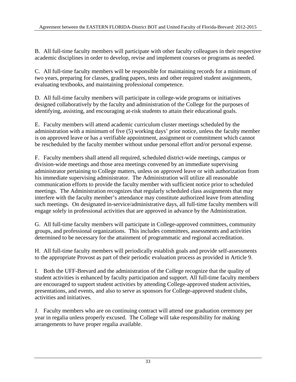B. All full-time faculty members will participate with other faculty colleagues in their respective academic disciplines in order to develop, revise and implement courses or programs as needed.

C. All full-time faculty members will be responsible for maintaining records for a minimum of two years, preparing for classes, grading papers, tests and other required student assignments, evaluating textbooks, and maintaining professional competence.

D. All full-time faculty members will participate in college-wide programs or initiatives designed collaboratively by the faculty and administration of the College for the purposes of identifying, assisting, and encouraging at-risk students to attain their educational goals.

E. Faculty members will attend academic curriculum cluster meetings scheduled by the administration with a minimum of five (5) working days' prior notice, unless the faculty member is on approved leave or has a verifiable appointment, assignment or commitment which cannot be rescheduled by the faculty member without undue personal effort and/or personal expense.

F. Faculty members shall attend all required, scheduled district-wide meetings, campus or division-wide meetings and those area meetings convened by an immediate supervising administrator pertaining to College matters, unless on approved leave or with authorization from his immediate supervising administrator. The Administration will utilize all reasonable communication efforts to provide the faculty member with sufficient notice prior to scheduled meetings. The Administration recognizes that regularly scheduled class assignments that may interfere with the faculty member's attendance may constitute authorized leave from attending such meetings. On designated in-service/administrative days, all full-time faculty members will engage solely in professional activities that are approved in advance by the Administration.

G. All full-time faculty members will participate in College-approved committees, community groups, and professional organizations. This includes committees, assessments and activities determined to be necessary for the attainment of programmatic and regional accreditation.

H. All full-time faculty members will periodically establish goals and provide self-assessments to the appropriate Provost as part of their periodic evaluation process as provided in Article 9.

I. Both the UFF-Brevard and the administration of the College recognize that the quality of student activities is enhanced by faculty participation and support. All full-time faculty members are encouraged to support student activities by attending College-approved student activities, presentations, and events, and also to serve as sponsors for College-approved student clubs, activities and initiatives.

J. Faculty members who are on continuing contract will attend one graduation ceremony per year in regalia unless properly excused. The College will take responsibility for making arrangements to have proper regalia available.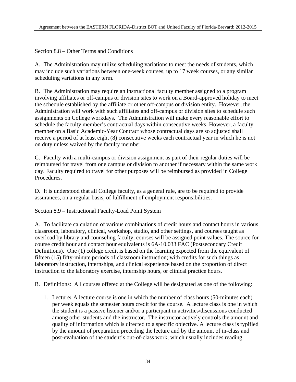Section 8.8 – Other Terms and Conditions

A. The Administration may utilize scheduling variations to meet the needs of students, which may include such variations between one-week courses, up to 17 week courses, or any similar scheduling variations in any term.

B. The Administration may require an instructional faculty member assigned to a program involving affiliates or off-campus or division sites to work on a Board-approved holiday to meet the schedule established by the affiliate or other off-campus or division entity. However, the Administration will work with such affiliates and off-campus or division sites to schedule such assignments on College workdays. The Administration will make every reasonable effort to schedule the faculty member's contractual days within consecutive weeks. However, a faculty member on a Basic Academic-Year Contract whose contractual days are so adjusted shall receive a period of at least eight (8) consecutive weeks each contractual year in which he is not on duty unless waived by the faculty member.

C. Faculty with a multi-campus or division assignment as part of their regular duties will be reimbursed for travel from one campus or division to another if necessary within the same work day. Faculty required to travel for other purposes will be reimbursed as provided in College Procedures.

D. It is understood that all College faculty, as a general rule, are to be required to provide assurances, on a regular basis, of fulfillment of employment responsibilities.

Section 8.9 – Instructional Faculty-Load Point System

A. To facilitate calculation of various combinations of credit hours and contact hours in various classroom, laboratory, clinical, workshop, studio, and other settings, and courses taught as overload by library and counseling faculty, courses will be assigned point values. The source for course credit hour and contact hour equivalents is 6A-10.033 FAC (Postsecondary Credit Definitions). One (1) college credit is based on the learning expected from the equivalent of fifteen (15) fifty-minute periods of classroom instruction; with credits for such things as laboratory instruction, internships, and clinical experience based on the proportion of direct instruction to the laboratory exercise, internship hours, or clinical practice hours.

B. Definitions: All courses offered at the College will be designated as one of the following:

1. Lecture**:** A lecture course is one in which the number of class hours (50-minutes each) per week equals the semester hours credit for the course. A lecture class is one in which the student is a passive listener and/or a participant in activities/discussions conducted among other students and the instructor. The instructor actively controls the amount and quality of information which is directed to a specific objective. A lecture class is typified by the amount of preparation preceding the lecture and by the amount of in-class and post-evaluation of the student's out-of-class work, which usually includes reading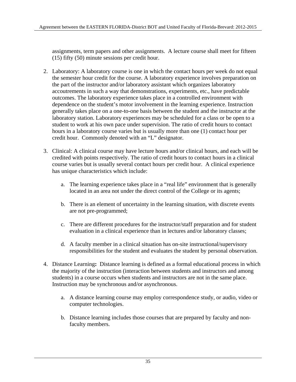assignments, term papers and other assignments. A lecture course shall meet for fifteen (15) fifty (50) minute sessions per credit hour.

- 2. Laboratory: A laboratory course is one in which the contact hours per week do not equal the semester hour credit for the course. A laboratory experience involves preparation on the part of the instructor and/or laboratory assistant which organizes laboratory accoutrements in such a way that demonstrations, experiments, etc., have predictable outcomes. The laboratory experience takes place in a controlled environment with dependence on the student's motor involvement in the learning experience. Instruction generally takes place on a one-to-one basis between the student and the instructor at the laboratory station. Laboratory experiences may be scheduled for a class or be open to a student to work at his own pace under supervision. The ratio of credit hours to contact hours in a laboratory course varies but is usually more than one (1) contact hour per credit hour. Commonly denoted with an "L" designator.
- 3. Clinical: A clinical course may have lecture hours and/or clinical hours, and each will be credited with points respectively. The ratio of credit hours to contact hours in a clinical course varies but is usually several contact hours per credit hour. A clinical experience has unique characteristics which include:
	- a. The learning experience takes place in a "real life" environment that is generally located in an area not under the direct control of the College or its agents;
	- b. There is an element of uncertainty in the learning situation, with discrete events are not pre-programmed;
	- c. There are different procedures for the instructor/staff preparation and for student evaluation in a clinical experience than in lectures and/or laboratory classes;
	- d. A faculty member in a clinical situation has on-site instructional/supervisory responsibilities for the student and evaluates the student by personal observation.
- 4. Distance Learning**:** Distance learning is defined as a formal educational process in which the majority of the instruction (interaction between students and instructors and among students) in a course occurs when students and instructors are not in the same place. Instruction may be synchronous and/or asynchronous.
	- a. A distance learning course may employ correspondence study, or audio, video or computer technologies.
	- b. Distance learning includes those courses that are prepared by faculty and nonfaculty members.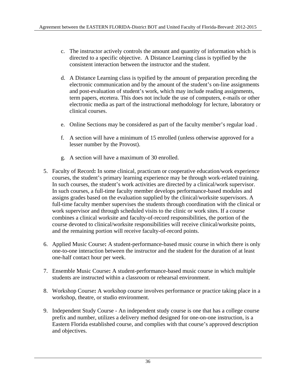- c. The instructor actively controls the amount and quantity of information which is directed to a specific objective. A Distance Learning class is typified by the consistent interaction between the instructor and the student.
- d. A Distance Learning class is typified by the amount of preparation preceding the electronic communication and by the amount of the student's on-line assignments and post-evaluation of student's work, which may include reading assignments, term papers, etcetera. This does not include the use of computers, e-mails or other electronic media as part of the instructional methodology for lecture, laboratory or clinical courses.
- e. Online Sections may be considered as part of the faculty member's regular load .
- f. A section will have a minimum of 15 enrolled (unless otherwise approved for a lesser number by the Provost).
- g. A section will have a maximum of 30 enrolled.
- 5. Faculty of Record**:** In some clinical, practicum or cooperative education/work experience courses, the student's primary learning experience may be through work-related training. In such courses, the student's work activities are directed by a clinical/work supervisor. In such courses, a full-time faculty member develops performance-based modules and assigns grades based on the evaluation supplied by the clinical/worksite supervisors. A full-time faculty member supervises the students through coordination with the clinical or work supervisor and through scheduled visits to the clinic or work sites. If a course combines a clinical worksite and faculty-of-record responsibilities, the portion of the course devoted to clinical/worksite responsibilities will receive clinical/worksite points, and the remaining portion will receive faculty-of-record points.
- 6. Applied Music Course**:** A student-performance-based music course in which there is only one-to-one interaction between the instructor and the student for the duration of at least one-half contact hour per week.
- 7. Ensemble Music Course**:** A student-performance-based music course in which multiple students are instructed within a classroom or rehearsal environment.
- 8. Workshop Course**:** A workshop course involves performance or practice taking place in a workshop, theatre, or studio environment.
- 9. Independent Study Course An independent study course is one that has a college course prefix and number, utilizes a delivery method designed for one-on-one instruction, is a Eastern Florida established course, and complies with that course's approved description and objectives.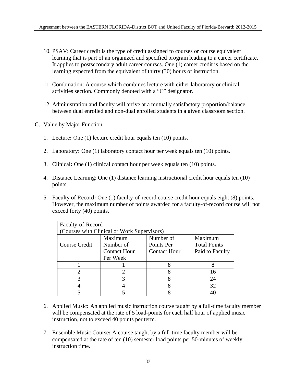- 10. PSAV: Career credit is the type of credit assigned to courses or course equivalent learning that is part of an organized and specified program leading to a career certificate. It applies to postsecondary adult career courses. One (1) career credit is based on the learning expected from the equivalent of thirty (30) hours of instruction.
- 11. Combination: A course which combines lecture with either laboratory or clinical activities section. Commonly denoted with a "C" designator.
- 12. Administration and faculty will arrive at a mutually satisfactory proportion/balance between dual enrolled and non-dual enrolled students in a given classroom section.
- C. Value by Major Function
	- 1. Lecture**:** One (1) lecture credit hour equals ten (10) points.
	- 2. Laboratory**:** One (1) laboratory contact hour per week equals ten (10) points.
	- 3. Clinical**:** One (1) clinical contact hour per week equals ten (10) points.
	- 4. Distance Learning: One (1) distance learning instructional credit hour equals ten (10) points.
	- 5. Faculty of Record**:** One (1) faculty-of-record course credit hour equals eight (8) points. However, the maximum number of points awarded for a faculty-of-record course will not exceed forty (40) points.

| Faculty-of-Record                           |                                                                                                                                                                 |                     |                     |  |  |
|---------------------------------------------|-----------------------------------------------------------------------------------------------------------------------------------------------------------------|---------------------|---------------------|--|--|
| (Courses with Clinical or Work Supervisors) |                                                                                                                                                                 |                     |                     |  |  |
|                                             | Maximum                                                                                                                                                         | Number of           | Maximum             |  |  |
| Course Credit                               | Number of                                                                                                                                                       | Points Per          | <b>Total Points</b> |  |  |
|                                             | <b>Contact Hour</b>                                                                                                                                             | <b>Contact Hour</b> | Paid to Faculty     |  |  |
|                                             | Per Week                                                                                                                                                        |                     |                     |  |  |
|                                             |                                                                                                                                                                 |                     |                     |  |  |
|                                             | $\mathcal{D}_{\mathcal{A}}^{\mathcal{A}}(\mathcal{A})=\mathcal{D}_{\mathcal{A}}^{\mathcal{A}}(\mathcal{A})\mathcal{D}_{\mathcal{A}}^{\mathcal{A}}(\mathcal{A})$ |                     | 16                  |  |  |
|                                             |                                                                                                                                                                 |                     | 24                  |  |  |
|                                             |                                                                                                                                                                 |                     | 32                  |  |  |
|                                             |                                                                                                                                                                 |                     |                     |  |  |

- 6. Applied Music**:** An applied music instruction course taught by a full-time faculty member will be compensated at the rate of 5 load-points for each half hour of applied music instruction, not to exceed 40 points per term.
- 7. Ensemble Music Course**:** A course taught by a full-time faculty member will be compensated at the rate of ten (10) semester load points per 50-minutes of weekly instruction time.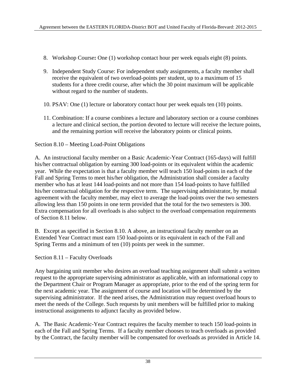- 8. Workshop Course**:** One (1) workshop contact hour per week equals eight (8) points.
- 9. Independent Study Course: For independent study assignments, a faculty member shall receive the equivalent of two overload-points per student, up to a maximum of 15 students for a three credit course, after which the 30 point maximum will be applicable without regard to the number of students.
- 10. PSAV: One (1) lecture or laboratory contact hour per week equals ten (10) points.
- 11. Combination: If a course combines a lecture and laboratory section or a course combines a lecture and clinical section, the portion devoted to lecture will receive the lecture points, and the remaining portion will receive the laboratory points or clinical points.

### Section 8.10 – Meeting Load-Point Obligations

A. An instructional faculty member on a Basic Academic-Year Contract (165-days) will fulfill his/her contractual obligation by earning 300 load-points or its equivalent within the academic year. While the expectation is that a faculty member will teach 150 load-points in each of the Fall and Spring Terms to meet his/her obligation, the Administration shall consider a faculty member who has at least 144 load-points and not more than 154 load-points to have fulfilled his/her contractual obligation for the respective term. The supervising administrator, by mutual agreement with the faculty member, may elect to average the load-points over the two semesters allowing less than 150 points in one term provided that the total for the two semesters is 300. Extra compensation for all overloads is also subject to the overload compensation requirements of Section 8.11 below.

B. Except as specified in Section 8.10. A above, an instructional faculty member on an Extended Year Contract must earn 150 load-points or its equivalent in each of the Fall and Spring Terms and a minimum of ten (10) points per week in the summer.

Section 8.11 – Faculty Overloads

Any bargaining unit member who desires an overload teaching assignment shall submit a written request to the appropriate supervising administrator as applicable, with an informational copy to the Department Chair or Program Manager as appropriate, prior to the end of the spring term for the next academic year. The assignment of course and location will be determined by the supervising administrator. If the need arises, the Administration may request overload hours to meet the needs of the College. Such requests by unit members will be fulfilled prior to making instructional assignments to adjunct faculty as provided below.

A. The Basic Academic-Year Contract requires the faculty member to teach 150 load-points in each of the Fall and Spring Terms. If a faculty member chooses to teach overloads as provided by the Contract, the faculty member will be compensated for overloads as provided in Article 14.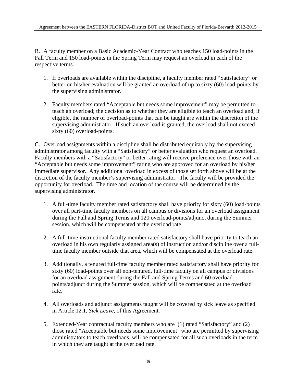B. A faculty member on a Basic Academic-Year Contract who teaches 150 load-points in the Fall Term and 150 load-points in the Spring Term may request an overload in each of the respective terms.

- 1. If overloads are available within the discipline, a faculty member rated "Satisfactory" or better on his/her evaluation will be granted an overload of up to sixty (60) load-points by the supervising administrator.
- 2. Faculty members rated "Acceptable but needs some improvement" may be permitted to teach an overload; the decision as to whether they are eligible to teach an overload and, if eligible, the number of overload-points that can be taught are within the discretion of the supervising administrator. If such an overload is granted, the overload shall not exceed sixty (60) overload-points.

C. Overload assignments within a discipline shall be distributed equitably by the supervising administrator among faculty with a "Satisfactory" or better evaluation who request an overload. Faculty members with a "Satisfactory" or better rating will receive preference over those with an "Acceptable but needs some improvement" rating who are approved for an overload by his/her immediate supervisor. Any additional overload in excess of those set forth above will be at the discretion of the faculty member's supervising administrator. The faculty will be provided the opportunity for overload. The time and location of the course will be determined by the supervising administrator.

- 1. A full-time faculty member rated satisfactory shall have priority for sixty (60) load-points over all part-time faculty members on all campus or divisions for an overload assignment during the Fall and Spring Terms and 120 overload-points/adjunct during the Summer session, which will be compensated at the overload rate.
- 2. A full-time instructional faculty member rated satisfactory shall have priority to teach an overload in his own regularly assigned area(s) of instruction and/or discipline over a fulltime faculty member outside that area, which will be compensated at the overload rate.
- 3. Additionally, a tenured full-time faculty member rated satisfactory shall have priority for sixty (60) load-points over all non-tenured, full-time faculty on all campus or divisions for an overload assignment during the Fall and Spring Terms and 60 overloadpoints/adjunct during the Summer session, which will be compensated at the overload rate.
- 4. All overloads and adjunct assignments taught will be covered by sick leave as specified in Article 12.1, *Sick Leave*, of this Agreement.
- 5. Extended-Year contractual faculty members who are (1) rated "Satisfactory" and (2) those rated "Acceptable but needs some improvement" who are permitted by supervising administrators to teach overloads, will be compensated for all such overloads in the term in which they are taught at the overload rate.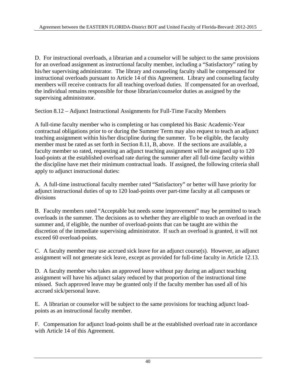D. For instructional overloads, a librarian and a counselor will be subject to the same provisions for an overload assignment as instructional faculty member, including a "Satisfactory" rating by his/her supervising administrator. The library and counseling faculty shall be compensated for instructional overloads pursuant to Article 14 of this Agreement. Library and counseling faculty members will receive contracts for all teaching overload duties. If compensated for an overload, the individual remains responsible for those librarian/counselor duties as assigned by the supervising administrator.

Section 8.12 – Adjunct Instructional Assignments for Full-Time Faculty Members

A full-time faculty member who is completing or has completed his Basic Academic-Year contractual obligations prior to or during the Summer Term may also request to teach an adjunct teaching assignment within his/her discipline during the summer. To be eligible, the faculty member must be rated as set forth in Section 8.11, B, above. If the sections are available, a faculty member so rated, requesting an adjunct teaching assignment will be assigned up to 120 load-points at the established overload rate during the summer after all full-time faculty within the discipline have met their minimum contractual loads. If assigned, the following criteria shall apply to adjunct instructional duties:

A. A full-time instructional faculty member rated "Satisfactory" or better will have priority for adjunct instructional duties of up to 120 load-points over part-time faculty at all campuses or divisions

B. Faculty members rated "Acceptable but needs some improvement" may be permitted to teach overloads in the summer. The decisions as to whether they are eligible to teach an overload in the summer and, if eligible, the number of overload-points that can be taught are within the discretion of the immediate supervising administrator. If such an overload is granted, it will not exceed 60 overload-points.

C. A faculty member may use accrued sick leave for an adjunct course(s). However, an adjunct assignment will not generate sick leave, except as provided for full-time faculty in Article 12.13.

D. A faculty member who takes an approved leave without pay during an adjunct teaching assignment will have his adjunct salary reduced by that proportion of the instructional time missed. Such approved leave may be granted only if the faculty member has used all of his accrued sick/personal leave.

E. A librarian or counselor will be subject to the same provisions for teaching adjunct loadpoints as an instructional faculty member.

F. Compensation for adjunct load-points shall be at the established overload rate in accordance with Article 14 of this Agreement.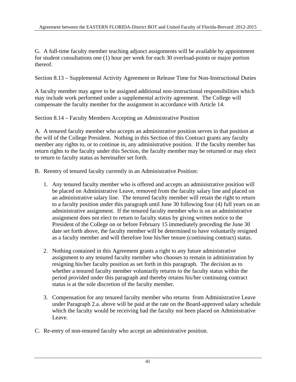G. A full-time faculty member teaching adjunct assignments will be available by appointment for student consultations one (1) hour per week for each 30 overload-points or major portion thereof.

Section 8.13 – Supplemental Activity Agreement or Release Time for Non-Instructional Duties

A faculty member may agree to be assigned additional non-instructional responsibilities which may include work performed under a supplemental activity agreement. The College will compensate the faculty member for the assignment in accordance with Article 14.

Section 8.14 – Faculty Members Accepting an Administrative Position

A. A tenured faculty member who accepts an administrative position serves in that position at the will of the College President. Nothing in this Section of this Contract grants any faculty member any rights to, or to continue in, any administrative position. If the faculty member has return rights to the faculty under this Section, the faculty member may be returned or may elect to return to faculty status as hereinafter set forth.

- B. Reentry of tenured faculty currently in an Administrative Position:
	- 1. Any tenured faculty member who is offered and accepts an administrative position will be placed on Administrative Leave, removed from the faculty salary line and placed on an administrative salary line. The tenured faculty member will retain the right to return to a faculty position under this paragraph until June 30 following four (4) full years on an administrative assignment. If the tenured faculty member who is on an administrative assignment does not elect to return to faculty status by giving written notice to the President of the College on or before February 15 immediately preceding the June 30 date set forth above, the faculty member will be determined to have voluntarily resigned as a faculty member and will therefore lose his/her tenure (continuing contract) status.
	- 2. Nothing contained in this Agreement grants a right to any future administrative assignment to any tenured faculty member who chooses to remain in administration by resigning his/her faculty position as set forth in this paragraph. The decision as to whether a tenured faculty member voluntarily returns to the faculty status within the period provided under this paragraph and thereby retains his/her continuing contract status is at the sole discretion of the faculty member.
	- 3. Compensation for any tenured faculty member who returns from Administrative Leave under Paragraph 2.a. above will be paid at the rate on the Board-approved salary schedule which the faculty would be receiving had the faculty not been placed on Administrative Leave.
- C. Re-entry of non-tenured faculty who accept an administrative position.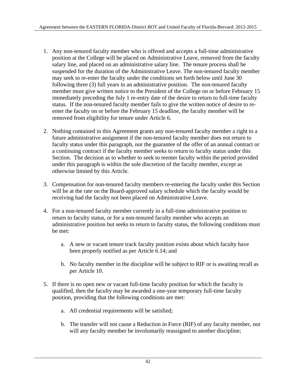- 1. Any non-tenured faculty member who is offered and accepts a full-time administrative position at the College will be placed on Administrative Leave, removed from the faculty salary line, and placed on an administrative salary line. The tenure process shall be suspended for the duration of the Administrative Leave. The non-tenured faculty member may seek to re-enter the faculty under the conditions set forth below until June 30 following three (3) full years in an administrative position. The non-tenured faculty member must give written notice to the President of the College on or before February 15 immediately preceding the July 1 re-entry date of the desire to return to full-time faculty status. If the non-tenured faculty member fails to give the written notice of desire to reenter the faculty on or before the February 15 deadline, the faculty member will be removed from eligibility for tenure under Article 6.
- 2. Nothing contained in this Agreement grants any non-tenured faculty member a right to a future administrative assignment if the non-tenured faculty member does not return to faculty status under this paragraph, nor the guarantee of the offer of an annual contract or a continuing contract if the faculty member seeks to return to faculty status under this Section. The decision as to whether to seek to reenter faculty within the period provided under this paragraph is within the sole discretion of the faculty member, except as otherwise limited by this Article.
- 3. Compensation for non-tenured faculty members re-entering the faculty under this Section will be at the rate on the Board-approved salary schedule which the faculty would be receiving had the faculty not been placed on Administrative Leave.
- 4. For a non-tenured faculty member currently in a full-time administrative position to return to faculty status, or for a non-tenured faculty member who accepts an administrative position but seeks to return to faculty status, the following conditions must be met:
	- a. A new or vacant tenure track faculty position exists about which faculty have been properly notified as per Article 6.14; and
	- b. No faculty member in the discipline will be subject to RIF or is awaiting recall as per Article 10.
- 5. If there is no open new or vacant full-time faculty position for which the faculty is qualified, then the faculty may be awarded a one-year temporary full-time faculty position, providing that the following conditions are met:
	- a. All credential requirements will be satisfied;
	- b. The transfer will not cause a Reduction in Force (RIF) of any faculty member, nor will any faculty member be involuntarily reassigned to another discipline;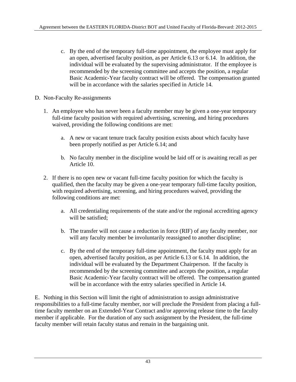- c. By the end of the temporary full-time appointment, the employee must apply for an open, advertised faculty position, as per Article 6.13 or 6.14. In addition, the individual will be evaluated by the supervising administrator. If the employee is recommended by the screening committee and accepts the position, a regular Basic Academic-Year faculty contract will be offered. The compensation granted will be in accordance with the salaries specified in Article 14.
- D. Non-Faculty Re-assignments
	- 1. An employee who has never been a faculty member may be given a one-year temporary full-time faculty position with required advertising, screening, and hiring procedures waived, providing the following conditions are met:
		- a. A new or vacant tenure track faculty position exists about which faculty have been properly notified as per Article 6.14; and
		- b. No faculty member in the discipline would be laid off or is awaiting recall as per Article 10.
	- 2. If there is no open new or vacant full-time faculty position for which the faculty is qualified, then the faculty may be given a one-year temporary full-time faculty position, with required advertising, screening, and hiring procedures waived, providing the following conditions are met:
		- a. All credentialing requirements of the state and/or the regional accrediting agency will be satisfied:
		- b. The transfer will not cause a reduction in force (RIF) of any faculty member, nor will any faculty member be involuntarily reassigned to another discipline;
		- c. By the end of the temporary full-time appointment, the faculty must apply for an open, advertised faculty position, as per Article 6.13 or 6.14. In addition, the individual will be evaluated by the Department Chairperson. If the faculty is recommended by the screening committee and accepts the position, a regular Basic Academic-Year faculty contract will be offered. The compensation granted will be in accordance with the entry salaries specified in Article 14.

E. Nothing in this Section will limit the right of administration to assign administrative responsibilities to a full-time faculty member, nor will preclude the President from placing a fulltime faculty member on an Extended-Year Contract and/or approving release time to the faculty member if applicable. For the duration of any such assignment by the President, the full-time faculty member will retain faculty status and remain in the bargaining unit.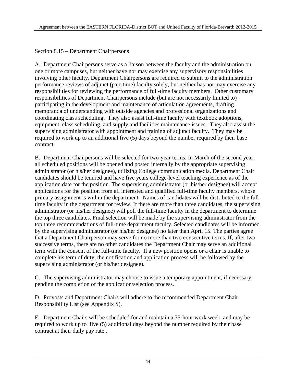Section 8.15 – Department Chairpersons

A. Department Chairpersons serve as a liaison between the faculty and the administration on one or more campuses, but neither have nor may exercise any supervisory responsibilities involving other faculty. Department Chairpersons are required to submit to the administration performance reviews of adjunct (part-time) faculty solely, but neither has nor may exercise any responsibilities for reviewing the performance of full-time faculty members. Other customary responsibilities of Department Chairpersons include (but are not necessarily limited to) participating in the development and maintenance of articulation agreements, drafting memoranda of understanding with outside agencies and professional organizations and coordinating class scheduling. They also assist full-time faculty with textbook adoptions, equipment, class scheduling, and supply and facilities maintenance issues. They also assist the supervising administrator with appointment and training of adjunct faculty. They may be required to work up to an additional five (5) days beyond the number required by their base contract.

B. Department Chairpersons will be selected for two-year terms. In March of the second year, all scheduled positions will be opened and posted internally by the appropriate supervising administrator (or his/her designee), utilizing College communication media. Department Chair candidates should be tenured and have five years college-level teaching experience as of the application date for the position. The supervising administrator (or his/her designee) will accept applications for the position from all interested and qualified full-time faculty members, whose primary assignment is within the department. Names of candidates will be distributed to the fulltime faculty in the department for review. If there are more than three candidates, the supervising administrator (or his/her designee) will poll the full-time faculty in the department to determine the top three candidates. Final selection will be made by the supervising administrator from the top three recommendations of full-time department faculty. Selected candidates will be informed by the supervising administrator (or his/her designee) no later than April 15. The parties agree that a Department Chairperson may serve for no more than two consecutive terms. If, after two successive terms, there are no other candidates the Department Chair may serve an additional term with the consent of the full-time faculty. If a new position opens or a chair is unable to complete his term of duty, the notification and application process will be followed by the supervising administrator (or his/her designee).

C. The supervising administrator may choose to issue a temporary appointment, if necessary, pending the completion of the application/selection process.

D. Provosts and Department Chairs will adhere to the recommended Department Chair Responsibility List (see Appendix S).

E. Department Chairs will be scheduled for and maintain a 35-hour work week, and may be required to work up to five (5) additional days beyond the number required by their base contract at their daily pay rate .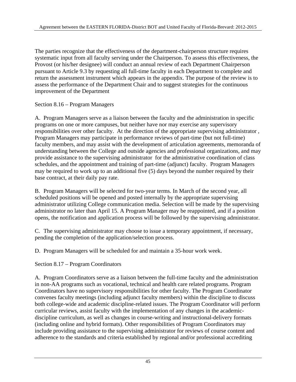The parties recognize that the effectiveness of the department-chairperson structure requires systematic input from all faculty serving under the Chairperson. To assess this effectiveness, the Provost (or his/her designee) will conduct an annual review of each Department Chairperson pursuant to Article 9.3 by requesting all full-time faculty in each Department to complete and return the assessment instrument which appears in the appendix. The purpose of the review is to assess the performance of the Department Chair and to suggest strategies for the continuous improvement of the Department

Section 8.16 – Program Managers

A. Program Managers serve as a liaison between the faculty and the administration in specific programs on one or more campuses, but neither have nor may exercise any supervisory responsibilities over other faculty. At the direction of the appropriate supervising administrator , Program Managers may participate in performance reviews of part-time (but not full-time) faculty members, and may assist with the development of articulation agreements, memoranda of understanding between the College and outside agencies and professional organizations, and may provide assistance to the supervising administrator for the administrative coordination of class schedules, and the appointment and training of part-time (adjunct) faculty. Program Managers may be required to work up to an additional five (5) days beyond the number required by their base contract, at their daily pay rate.

B. Program Managers will be selected for two-year terms. In March of the second year, all scheduled positions will be opened and posted internally by the appropriate supervising administrator utilizing College communication media. Selection will be made by the supervising administrator no later than April 15. A Program Manager may be reappointed, and if a position opens, the notification and application process will be followed by the supervising administrator.

C. The supervising administrator may choose to issue a temporary appointment, if necessary, pending the completion of the application/selection process.

D. Program Managers will be scheduled for and maintain a 35-hour work week.

Section 8.17 – Program Coordinators

A. Program Coordinators serve as a liaison between the full-time faculty and the administration in non-AA programs such as vocational, technical and health care related programs. Program Coordinators have no supervisory responsibilities for other faculty. The Program Coordinator convenes faculty meetings (including adjunct faculty members) within the discipline to discuss both college-wide and academic discipline-related issues. The Program Coordinator will perform curricular reviews, assist faculty with the implementation of any changes in the academicdiscipline curriculum, as well as changes in course-writing and instructional-delivery formats (including online and hybrid formats). Other responsibilities of Program Coordinators may include providing assistance to the supervising administrator for reviews of course content and adherence to the standards and criteria established by regional and/or professional accrediting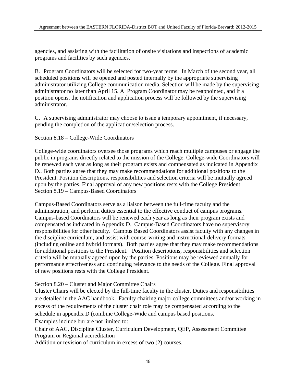agencies, and assisting with the facilitation of onsite visitations and inspections of academic programs and facilities by such agencies.

B. Program Coordinators will be selected for two-year terms. In March of the second year, all scheduled positions will be opened and posted internally by the appropriate supervising administrator utilizing College communication media. Selection will be made by the supervising administrator no later than April 15. A Program Coordinator may be reappointed, and if a position opens, the notification and application process will be followed by the supervising administrator.

C. A supervising administrator may choose to issue a temporary appointment, if necessary, pending the completion of the application/selection process.

Section 8.18 – College-Wide Coordinators

College-wide coordinators oversee those programs which reach multiple campuses or engage the public in programs directly related to the mission of the College. College-wide Coordinators will be renewed each year as long as their program exists and compensated as indicated in Appendix D.. Both parties agree that they may make recommendations for additional positions to the President. Position descriptions, responsibilities and selection criteria will be mutually agreed upon by the parties. Final approval of any new positions rests with the College President. Section 8.19 – Campus-Based Coordinators

Campus-Based Coordinators serve as a liaison between the full-time faculty and the administration, and perform duties essential to the effective conduct of campus programs. Campus-based Coordinators will be renewed each year as long as their program exists and compensated as indicated in Appendix D. Campus-Based Coordinators have no supervisory responsibilities for other faculty. Campus Based Coordinators assist faculty with any changes in the discipline curriculum, and assist with course-writing and instructional-delivery formats (including online and hybrid formats). Both parties agree that they may make recommendations for additional positions to the President. Position descriptions, responsibilities and selection criteria will be mutually agreed upon by the parties. Positions may be reviewed annually for performance effectiveness and continuing relevance to the needs of the College. Final approval of new positions rests with the College President.

#### Section 8.20 – Cluster and Major Committee Chairs

Cluster Chairs will be elected by the full-time faculty in the cluster. Duties and responsibilities are detailed in the AAC handbook. Faculty chairing major college committees and/or working in excess of the requirements of the cluster chair role may be compensated according to the schedule in appendix D (combine College-Wide and campus based positions.

Examples include bur are not limited to:

Chair of AAC, Discipline Cluster, Curriculum Development, QEP, Assessment Committee Program or Regional accreditation

Addition or revision of curriculum in excess of two (2) courses.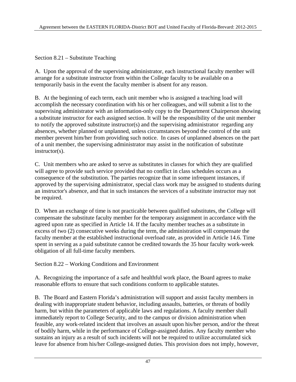Section 8.21 – Substitute Teaching

A. Upon the approval of the supervising administrator, each instructional faculty member will arrange for a substitute instructor from within the College faculty to be available on a temporarily basis in the event the faculty member is absent for any reason.

B. At the beginning of each term, each unit member who is assigned a teaching load will accomplish the necessary coordination with his or her colleagues, and will submit a list to the supervising administrator with an information-only copy to the Department Chairperson showing a substitute instructor for each assigned section. It will be the responsibility of the unit member to notify the approved substitute instructor(s) and the supervising administrator regarding any absences, whether planned or unplanned, unless circumstances beyond the control of the unit member prevent him/her from providing such notice. In cases of unplanned absences on the part of a unit member, the supervising administrator may assist in the notification of substitute instructor(s).

C. Unit members who are asked to serve as substitutes in classes for which they are qualified will agree to provide such service provided that no conflict in class schedules occurs as a consequence of the substitution. The parties recognize that in some infrequent instances, if approved by the supervising administrator, special class work may be assigned to students during an instructor's absence, and that in such instances the services of a substitute instructor may not be required.

D. When an exchange of time is not practicable between qualified substitutes, the College will compensate the substitute faculty member for the temporary assignment in accordance with the agreed upon rate as specified in Article 14. If the faculty member teaches as a substitute in excess of two (2) consecutive weeks during the term, the administration will compensate the faculty member at the established instructional overload rate, as provided in Article 14.6. Time spent in serving as a paid substitute cannot be credited towards the 35 hour faculty work-week obligation of all full-time faculty members.

Section 8.22 – Working Conditions and Environment

A. Recognizing the importance of a safe and healthful work place, the Board agrees to make reasonable efforts to ensure that such conditions conform to applicable statutes.

B. The Board and Eastern Florida's administration will support and assist faculty members in dealing with inappropriate student behavior, including assaults, batteries, or threats of bodily harm, but within the parameters of applicable laws and regulations. A faculty member shall immediately report to College Security, and to the campus or division administration when feasible, any work-related incident that involves an assault upon his/her person, and/or the threat of bodily harm, while in the performance of College-assigned duties. Any faculty member who sustains an injury as a result of such incidents will not be required to utilize accumulated sick leave for absence from his/her College-assigned duties. This provision does not imply, however,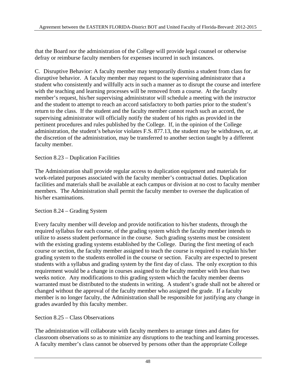that the Board nor the administration of the College will provide legal counsel or otherwise defray or reimburse faculty members for expenses incurred in such instances.

C. Disruptive Behavior: A faculty member may temporarily dismiss a student from class for disruptive behavior. A faculty member may request to the supervising administrator that a student who consistently and willfully acts in such a manner as to disrupt the course and interfere with the teaching and learning processes will be removed from a course. At the faculty member's request, his/her supervising administrator will schedule a meeting with the instructor and the student to attempt to reach an accord satisfactory to both parties prior to the student's return to the class. If the student and the faculty member cannot reach such an accord, the supervising administrator will officially notify the student of his rights as provided in the pertinent procedures and rules published by the College. If, in the opinion of the College administration, the student's behavior violates F.S. 877.13, the student may be withdrawn, or, at the discretion of the administration, may be transferred to another section taught by a different faculty member.

### Section 8.23 – Duplication Facilities

The Administration shall provide regular access to duplication equipment and materials for work-related purposes associated with the faculty member's contractual duties. Duplication facilities and materials shall be available at each campus or division at no cost to faculty member members. The Administration shall permit the faculty member to oversee the duplication of his/her examinations.

### Section 8.24 – Grading System

Every faculty member will develop and provide notification to his/her students, through the required syllabus for each course, of the grading system which the faculty member intends to utilize to assess student performance in the course. Such grading systems must be consistent with the existing grading systems established by the College. During the first meeting of each course or section, the faculty member assigned to teach the course is required to explain his/her grading system to the students enrolled in the course or section. Faculty are expected to present students with a syllabus and grading system by the first day of class. The only exception to this requirement would be a change in courses assigned to the faculty member with less than two weeks notice. Any modifications to this grading system which the faculty member deems warranted must be distributed to the students in writing. A student's grade shall not be altered or changed without the approval of the faculty member who assigned the grade. If a faculty member is no longer faculty, the Administration shall be responsible for justifying any change in grades awarded by this faculty member.

#### Section 8.25 – Class Observations

The administration will collaborate with faculty members to arrange times and dates for classroom observations so as to minimize any disruptions to the teaching and learning processes. A faculty member's class cannot be observed by persons other than the appropriate College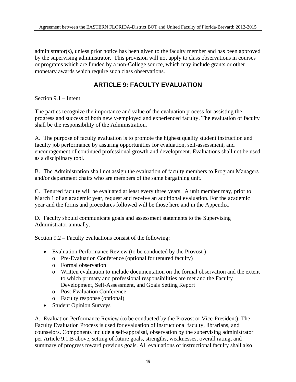administrator(s), unless prior notice has been given to the faculty member and has been approved by the supervising administrator. This provision will not apply to class observations in courses or programs which are funded by a non-College source, which may include grants or other monetary awards which require such class observations.

# **ARTICLE 9: FACULTY EVALUATION**

Section 9.1 – Intent

The parties recognize the importance and value of the evaluation process for assisting the progress and success of both newly-employed and experienced faculty. The evaluation of faculty shall be the responsibility of the Administration.

A. The purpose of faculty evaluation is to promote the highest quality student instruction and faculty job performance by assuring opportunities for evaluation, self-assessment, and encouragement of continued professional growth and development. Evaluations shall not be used as a disciplinary tool.

B. The Administration shall not assign the evaluation of faculty members to Program Managers and/or department chairs who are members of the same bargaining unit.

C. Tenured faculty will be evaluated at least every three years. A unit member may, prior to March 1 of an academic year, request and receive an additional evaluation. For the academic year and the forms and procedures followed will be those here and in the Appendix.

D. Faculty should communicate goals and assessment statements to the Supervising Administrator annually.

Section 9.2 – Faculty evaluations consist of the following:

- Evaluation Performance Review (to be conducted by the Provost )
	- o Pre-Evaluation Conference (optional for tenured faculty)
	- o Formal observation
	- o Written evaluation to include documentation on the formal observation and the extent to which primary and professional responsibilities are met and the Faculty Development, Self-Assessment, and Goals Setting Report
	- o Post-Evaluation Conference
	- o Faculty response (optional)
- Student Opinion Surveys

A. Evaluation Performance Review (to be conducted by the Provost or Vice-President): The Faculty Evaluation Process is used for evaluation of instructional faculty, librarians, and counselors. Components include a self-appraisal, observation by the supervising administrator per Article 9.1.B above, setting of future goals, strengths, weaknesses, overall rating, and summary of progress toward previous goals. All evaluations of instructional faculty shall also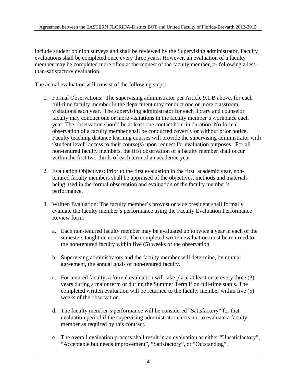include student opinion surveys and shall be reviewed by the Supervising administrator. Faculty evaluations shall be completed once every three years. However, an evaluation of a faculty member may be completed more often at the request of the faculty member, or following a lessthan-satisfactory evaluation.

The actual evaluation will consist of the following steps:

- 1. Formal Observations: The supervising administrator per Article 9.1.B above, for each full-time faculty member in the department may conduct one or more classroom visitations each year. The supervising administrator for each library and counselor faculty may conduct one or more visitations in the faculty member's workplace each year. The observation should be at least one contact hour in duration. No formal observation of a faculty member shall be conducted covertly or without prior notice. Faculty teaching distance learning courses will provide the supervising administrator with "student level" access to their course(s) upon request for evaluation purposes. For all non-tenured faculty members, the first observation of a faculty member shall occur within the first two-thirds of each term of an academic year
- 2. Evaluation Objectives: Prior to the first evaluation in the first academic year, nontenured faculty members shall be appraised of the objectives, methods and materials being used in the formal observation and evaluation of the faculty member's performance.
- 3. Written Evaluation: The faculty member's provost or vice president shall formally evaluate the faculty member's performance using the Faculty Evaluation Performance Review form.
	- a. Each non-tenured faculty member may be evaluated up to twice a year in each of the semesters taught on contract. The completed written evaluation must be returned to the non-tenured faculty within five (5) weeks of the observation.
	- b. Supervising administrators and the faculty member will determine, by mutual agreement, the annual goals of non-tenured faculty.
	- c. For tenured faculty, a formal evaluation will take place at least once every three (3) years during a major term or during the Summer Term if on full-time status. The completed written evaluation will be returned to the faculty member within five (5) weeks of the observation.
	- d. The faculty member's performance will be considered "Satisfactory" for that evaluation period if the supervising administrator elects not to evaluate a faculty member as required by this contract.
	- e. The overall evaluation process shall result in an evaluation as either "Unsatisfactory", "Acceptable but needs improvement", "Satisfactory", or "Outstanding".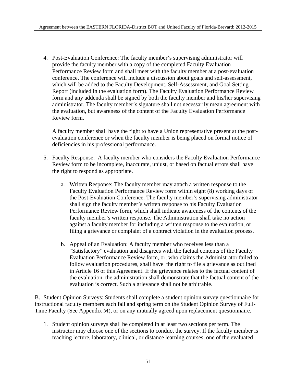4. Post-Evaluation Conference: The faculty member's supervising administrator will provide the faculty member with a copy of the completed Faculty Evaluation Performance Review form and shall meet with the faculty member at a post-evaluation conference. The conference will include a discussion about goals and self-assessment, which will be added to the Faculty Development, Self-Assessment, and Goal Setting Report (included in the evaluation form). The Faculty Evaluation Performance Review form and any addenda shall be signed by both the faculty member and his/her supervising administrator. The faculty member's signature shall not necessarily mean agreement with the evaluation, but awareness of the content of the Faculty Evaluation Performance Review form.

A faculty member shall have the right to have a Union representative present at the postevaluation conference or when the faculty member is being placed on formal notice of deficiencies in his professional performance.

- 5. Faculty Response: A faculty member who considers the Faculty Evaluation Performance Review form to be incomplete, inaccurate, unjust, or based on factual errors shall have the right to respond as appropriate.
	- a. Written Response: The faculty member may attach a written response to the Faculty Evaluation Performance Review form within eight (8) working days of the Post-Evaluation Conference. The faculty member's supervising administrator shall sign the faculty member's written response to his Faculty Evaluation Performance Review form, which shall indicate awareness of the contents of the faculty member's written response. The Administration shall take no action against a faculty member for including a written response to the evaluation, or filing a grievance or complaint of a contract violation in the evaluation process.
	- b. Appeal of an Evaluation: A faculty member who receives less than a "Satisfactory" evaluation and disagrees with the factual contents of the Faculty Evaluation Performance Review form, or, who claims the Administrator failed to follow evaluation procedures, shall have the right to file a grievance as outlined in Article 16 of this Agreement. If the grievance relates to the factual content of the evaluation, the administration shall demonstrate that the factual content of the evaluation is correct. Such a grievance shall not be arbitrable.

B. Student Opinion Surveys: Students shall complete a student opinion survey questionnaire for instructional faculty members each fall and spring term on the Student Opinion Survey of Full-Time Faculty (See Appendix M), or on any mutually agreed upon replacement questionnaire.

1. Student opinion surveys shall be completed in at least two sections per term. The instructor may choose one of the sections to conduct the survey. If the faculty member is teaching lecture, laboratory, clinical, or distance learning courses, one of the evaluated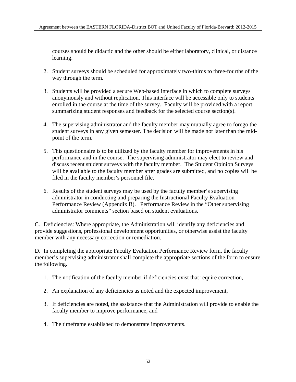courses should be didactic and the other should be either laboratory, clinical, or distance learning.

- 2. Student surveys should be scheduled for approximately two-thirds to three-fourths of the way through the term.
- 3. Students will be provided a secure Web-based interface in which to complete surveys anonymously and without replication. This interface will be accessible only to students enrolled in the course at the time of the survey. Faculty will be provided with a report summarizing student responses and feedback for the selected course section(s).
- 4. The supervising administrator and the faculty member may mutually agree to forego the student surveys in any given semester. The decision will be made not later than the midpoint of the term.
- 5. This questionnaire is to be utilized by the faculty member for improvements in his performance and in the course. The supervising administrator may elect to review and discuss recent student surveys with the faculty member. The Student Opinion Surveys will be available to the faculty member after grades are submitted, and no copies will be filed in the faculty member's personnel file.
- 6. Results of the student surveys may be used by the faculty member's supervising administrator in conducting and preparing the Instructional Faculty Evaluation Performance Review (Appendix B). Performance Review in the "Other supervising administrator comments" section based on student evaluations.

C. Deficiencies: Where appropriate, the Administration will identify any deficiencies and provide suggestions, professional development opportunities, or otherwise assist the faculty member with any necessary correction or remediation.

D. In completing the appropriate Faculty Evaluation Performance Review form, the faculty member's supervising administrator shall complete the appropriate sections of the form to ensure the following.

- 1. The notification of the faculty member if deficiencies exist that require correction,
- 2. An explanation of any deficiencies as noted and the expected improvement,
- 3. If deficiencies are noted, the assistance that the Administration will provide to enable the faculty member to improve performance, and
- 4. The timeframe established to demonstrate improvements.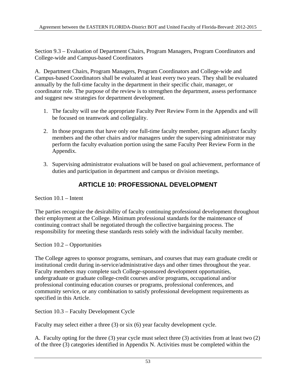Section 9.3 – Evaluation of Department Chairs, Program Managers, Program Coordinators and College-wide and Campus-based Coordinators

A. Department Chairs, Program Managers, Program Coordinators and College-wide and Campus-based Coordinators shall be evaluated at least every two years. They shall be evaluated annually by the full-time faculty in the department in their specific chair, manager, or coordinator role. The purpose of the review is to strengthen the department, assess performance and suggest new strategies for department development.

- 1. The faculty will use the appropriate Faculty Peer Review Form in the Appendix and will be focused on teamwork and collegiality.
- 2. In those programs that have only one full-time faculty member, program adjunct faculty members and the other chairs and/or managers under the supervising administrator may perform the faculty evaluation portion using the same Faculty Peer Review Form in the Appendix.
- 3. Supervising administrator evaluations will be based on goal achievement, performance of duties and participation in department and campus or division meetings.

# **ARTICLE 10: PROFESSIONAL DEVELOPMENT**

Section 10.1 – Intent

The parties recognize the desirability of faculty continuing professional development throughout their employment at the College. Minimum professional standards for the maintenance of continuing contract shall be negotiated through the collective bargaining process. The responsibility for meeting these standards rests solely with the individual faculty member.

Section 10.2 – Opportunities

The College agrees to sponsor programs, seminars, and courses that may earn graduate credit or institutional credit during in-service/administrative days and other times throughout the year. Faculty members may complete such College-sponsored development opportunities, undergraduate or graduate college-credit courses and/or programs, occupational and/or professional continuing education courses or programs, professional conferences, and community service, or any combination to satisfy professional development requirements as specified in this Article.

Section 10.3 – Faculty Development Cycle

Faculty may select either a three (3) or six (6) year faculty development cycle.

A. Faculty opting for the three (3) year cycle must select three (3) activities from at least two (2) of the three (3) categories identified in Appendix N. Activities must be completed within the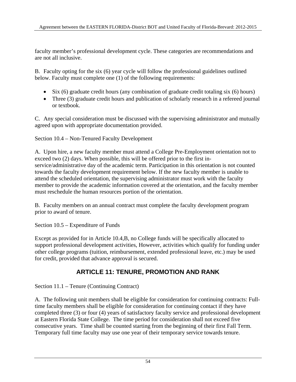faculty member's professional development cycle. These categories are recommendations and are not all inclusive.

B. Faculty opting for the six (6) year cycle will follow the professional guidelines outlined below. Faculty must complete one (1) of the following requirements:

- Six (6) graduate credit hours (any combination of graduate credit totaling six (6) hours)
- Three (3) graduate credit hours and publication of scholarly research in a refereed journal or textbook.

C. Any special consideration must be discussed with the supervising administrator and mutually agreed upon with appropriate documentation provided.

Section 10.4 – Non-Tenured Faculty Development

A. Upon hire, a new faculty member must attend a College Pre-Employment orientation not to exceed two (2) days. When possible, this will be offered prior to the first inservice/administrative day of the academic term. Participation in this orientation is not counted towards the faculty development requirement below. If the new faculty member is unable to attend the scheduled orientation, the supervising administrator must work with the faculty member to provide the academic information covered at the orientation, and the faculty member must reschedule the human resources portion of the orientation.

B. Faculty members on an annual contract must complete the faculty development program prior to award of tenure.

Section 10.5 – Expenditure of Funds

Except as provided for in Article 10.4,B, no College funds will be specifically allocated to support professional development activities, However, activities which qualify for funding under other college programs (tuition, reimbursement, extended professional leave, etc.) may be used for credit, provided that advance approval is secured.

# **ARTICLE 11: TENURE, PROMOTION AND RANK**

Section 11.1 – Tenure (Continuing Contract)

A. The following unit members shall be eligible for consideration for continuing contracts: Fulltime faculty members shall be eligible for consideration for continuing contact if they have completed three (3) or four (4) years of satisfactory faculty service and professional development at Eastern Florida State College. The time period for consideration shall not exceed five consecutive years. Time shall be counted starting from the beginning of their first Fall Term. Temporary full time faculty may use one year of their temporary service towards tenure.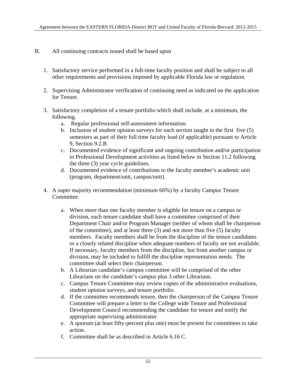### B. All continuing contracts issued shall be based upon

- 1. Satisfactory service performed in a full-time faculty position and shall be subject to all other requirements and provisions imposed by applicable Florida law or regulation.
- 2. Supervising Administrator verification of continuing need as indicated on the application for Tenure.
- 3. Satisfactory completion of a tenure portfolio which shall include, at a minimum, the following.
	- a. Regular professional self-assessment information.
	- b. Inclusion of student opinion surveys for each section taught in the first five (5) semesters as part of their full time faculty load (if applicable) pursuant to Article 9, Section 9.2.B
	- c. Documented evidence of significant and ongoing contribution and/or participation in Professional Development activities as listed below in Section 11.2 following the three (3) year cycle guidelines.
	- d. Documented evidence of contributions to the faculty member's academic unit (program, department/unit, campus/unit).
- 4. A super majority recommendation (minimum 66%) by a faculty Campus Tenure Committee.
	- a. When more than one faculty member is eligible for tenure on a campus or division, each tenure candidate shall have a committee comprised of their Department Chair and/or Program Manager (neither of whom shall be chairperson of the committee), and at least three (3) and not more than five (5) faculty members. Faculty members shall be from the discipline of the tenure candidates or a closely related discipline when adequate numbers of faculty are not available. If necessary, faculty members from the discipline, but from another campus or division, may be included to fulfill the discipline representation needs. The committee shall select their chairperson.
	- b. A Librarian candidate's campus committee will be comprised of the other Librarians on the candidate's campus plus 3 other Librarians.
	- c. Campus Tenure Committee may review copies of the administrative evaluations, student opinion surveys, and tenure portfolio.
	- d. If the committee recommends tenure, then the chairperson of the Campus Tenure Committee will prepare a letter to the College wide Tenure and Professional Development Council recommending the candidate for tenure and notify the appropriate supervising administrator.
	- e. A quorum (at least fifty-percent plus one) must be present for committees to take action.
	- f. Committee shall be as described in Article 6.16 C.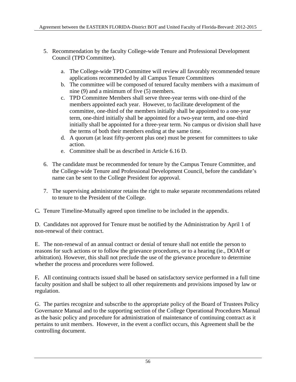- 5. Recommendation by the faculty College-wide Tenure and Professional Development Council (TPD Committee).
	- a. The College-wide TPD Committee will review all favorably recommended tenure applications recommended by all Campus Tenure Committees
	- b. The committee will be composed of tenured faculty members with a maximum of nine (9) and a minimum of five (5) members.
	- c. TPD Committee Members shall serve three-year terms with one-third of the members appointed each year. However, to facilitate development of the committee, one-third of the members initially shall be appointed to a one-year term, one-third initially shall be appointed for a two-year term, and one-third initially shall be appointed for a three-year term. No campus or division shall have the terms of both their members ending at the same time.
	- d. A quorum (at least fifty-percent plus one) must be present for committees to take action.
	- e. Committee shall be as described in Article 6.16 D.
- 6. The candidate must be recommended for tenure by the Campus Tenure Committee, and the College-wide Tenure and Professional Development Council, before the candidate's name can be sent to the College President for approval.
- 7. The supervising administrator retains the right to make separate recommendations related to tenure to the President of the College.
- C*.* Tenure Timeline-Mutually agreed upon timeline to be included in the appendix.

D. Candidates not approved for Tenure must be notified by the Administration by April 1 of non-renewal of their contract.

E. The non-renewal of an annual contract or denial of tenure shall not entitle the person to reasons for such actions or to follow the grievance procedures, or to a hearing (ie., DOAH or arbitration). However, this shall not preclude the use of the grievance procedure to determine whether the process and procedures were followed.

F*.* All continuing contracts issued shall be based on satisfactory service performed in a full time faculty position and shall be subject to all other requirements and provisions imposed by law or regulation.

G. The parties recognize and subscribe to the appropriate policy of the Board of Trustees Policy Governance Manual and to the supporting section of the College Operational Procedures Manual as the basic policy and procedure for administration of maintenance of continuing contract as it pertains to unit members. However, in the event a conflict occurs, this Agreement shall be the controlling document.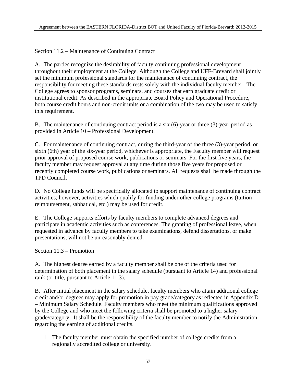Section 11.2 – Maintenance of Continuing Contract

A. The parties recognize the desirability of faculty continuing professional development throughout their employment at the College. Although the College and UFF-Brevard shall jointly set the minimum professional standards for the maintenance of continuing contract, the responsibility for meeting these standards rests solely with the individual faculty member. The College agrees to sponsor programs, seminars, and courses that earn graduate credit or institutional credit. As described in the appropriate Board Policy and Operational Procedure, both course credit hours and non-credit units or a combination of the two may be used to satisfy this requirement.

B. The maintenance of continuing contract period is a six (6)-year or three (3)-year period as provided in Article 10 – Professional Development.

C. For maintenance of continuing contract, during the third-year of the three (3)-year period, or sixth (6th) year of the six-year period, whichever is appropriate, the Faculty member will request prior approval of proposed course work, publications or seminars. For the first five years, the faculty member may request approval at any time during those five years for proposed or recently completed course work, publications or seminars. All requests shall be made through the TPD Council.

D. No College funds will be specifically allocated to support maintenance of continuing contract activities; however, activities which qualify for funding under other college programs (tuition reimbursement, sabbatical, etc.) may be used for credit.

E. The College supports efforts by faculty members to complete advanced degrees and participate in academic activities such as conferences. The granting of professional leave, when requested in advance by faculty members to take examinations, defend dissertations, or make presentations, will not be unreasonably denied.

Section 11.3 – Promotion

A. The highest degree earned by a faculty member shall be one of the criteria used for determination of both placement in the salary schedule (pursuant to Article 14) and professional rank (or title, pursuant to Article 11.3).

B. After initial placement in the salary schedule, faculty members who attain additional college credit and/or degrees may apply for promotion in pay grade/category as reflected in Appendix D – Minimum Salary Schedule. Faculty members who meet the minimum qualifications approved by the College and who meet the following criteria shall be promoted to a higher salary grade/category. It shall be the responsibility of the faculty member to notify the Administration regarding the earning of additional credits.

1. The faculty member must obtain the specified number of college credits from a regionally accredited college or university.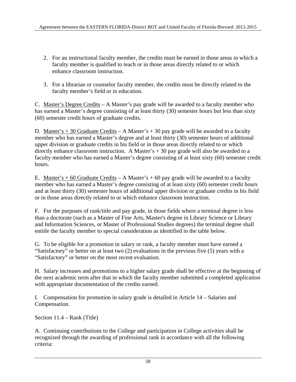- 2. For an instructional faculty member, the credits must be earned in those areas in which a faculty member is qualified to teach or in those areas directly related to or which enhance classroom instruction.
- 3. For a librarian or counselor faculty member, the credits must be directly related to the faculty member's field or in education.

C. Master's Degree Credits – A Master's pay grade will be awarded to a faculty member who has earned a Master's degree consisting of at least thirty (30) semester hours but less than sixty (60) semester credit hours of graduate credits.

D. Master's  $+30$  Graduate Credits – A Master's  $+30$  pay grade will be awarded to a faculty member who has earned a Master's degree and at least thirty (30) semester hours of additional upper division or graduate credits in his field or in those areas directly related to or which directly enhance classroom instruction. A Master's  $+ 30$  pay grade will also be awarded to a faculty member who has earned a Master's degree consisting of at least sixty (60) semester credit hours.

E. Master's + 60 Graduate Credits – A Master's + 60 pay grade will be awarded to a faculty member who has earned a Master's degree consisting of at least sixty (60) semester credit hours and at least thirty (30) semester hours of additional upper division or graduate credits in his field or in those areas directly related to or which enhance classroom instruction.

F. For the purposes of rank/title and pay grade, in those fields where a terminal degree is less than a doctorate (such as a Master of Fine Arts, Master's degree in Library Science or Library and Information Sciences, or Master of Professional Studies degrees) the terminal degree shall entitle the faculty member to special consideration as identified in the table below.

G. To be eligible for a promotion in salary or rank, a faculty member must have earned a "Satisfactory" or better on at least two (2) evaluations in the previous five (5) years with a "Satisfactory" or better on the most recent evaluation.

H. Salary increases and promotions to a higher salary grade shall be effective at the beginning of the next academic term after that in which the faculty member submitted a completed application with appropriate documentation of the credits earned.

I. Compensation for promotion in salary grade is detailed in Article 14 – Salaries and Compensation.

Section 11.4 – Rank (Title)

A. Continuing contributions to the College and participation in College activities shall be recognized through the awarding of professional rank in accordance with all the following criteria: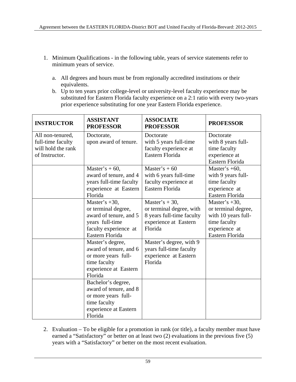- 1. Minimum Qualifications in the following table, years of service statements refer to minimum years of service.
	- a. All degrees and hours must be from regionally accredited institutions or their equivalents.
	- b. Up to ten years prior college-level or university-level faculty experience may be substituted for Eastern Florida faculty experience on a 2:1 ratio with every two-years prior experience substituting for one year Eastern Florida experience.

| <b>INSTRUCTOR</b>                                                             | <b>ASSISTANT</b><br><b>PROFESSOR</b>                                                                                             | <b>ASSOCIATE</b><br><b>PROFESSOR</b>                                                                          | <b>PROFESSOR</b>                                                                                                   |
|-------------------------------------------------------------------------------|----------------------------------------------------------------------------------------------------------------------------------|---------------------------------------------------------------------------------------------------------------|--------------------------------------------------------------------------------------------------------------------|
| All non-tenured,<br>full-time faculty<br>will hold the rank<br>of Instructor. | Doctorate,<br>upon award of tenure.                                                                                              | Doctorate<br>with 5 years full-time<br>faculty experience at<br>Eastern Florida                               | Doctorate<br>with 8 years full-<br>time faculty<br>experience at                                                   |
|                                                                               |                                                                                                                                  |                                                                                                               | Eastern Florida                                                                                                    |
|                                                                               | Master's $+60$ ,<br>award of tenure, and 4<br>years full-time faculty<br>experience at Eastern<br>Florida                        | Master's $+60$<br>with 6 years full-time<br>faculty experience at<br>Eastern Florida                          | Master's $+60$ ,<br>with 9 years full-<br>time faculty<br>experience at<br>Eastern Florida                         |
|                                                                               | Master's $+30$ ,<br>or terminal degree,<br>award of tenure, and 5<br>years full-time<br>faculty experience at<br>Eastern Florida | Master's $+30$ ,<br>or terminal degree, with<br>8 years full-time faculty<br>experience at Eastern<br>Florida | Master's $+30$ ,<br>or terminal degree,<br>with 10 years full-<br>time faculty<br>experience at<br>Eastern Florida |
|                                                                               | Master's degree,<br>award of tenure, and 6<br>or more years full-<br>time faculty<br>experience at Eastern<br>Florida            | Master's degree, with 9<br>years full-time faculty<br>experience at Eastern<br>Florida                        |                                                                                                                    |
|                                                                               | Bachelor's degree,<br>award of tenure, and 8<br>or more years full-<br>time faculty<br>experience at Eastern<br>Florida          |                                                                                                               |                                                                                                                    |

2. Evaluation – To be eligible for a promotion in rank (or title), a faculty member must have earned a "Satisfactory" or better on at least two (2) evaluations in the previous five (5) years with a "Satisfactory" or better on the most recent evaluation.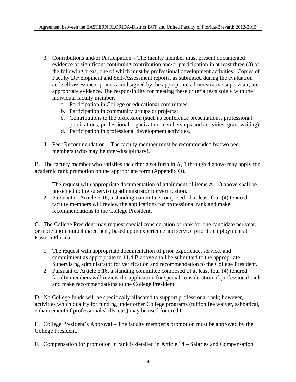- 3. Contributions and/or Participation The faculty member must present documented evidence of significant continuing contribution and/or participation in at least three (3) of the following areas, one of which must be professional development activities. Copies of Faculty Development and Self-Assessment reports, as submitted during the evaluation and self-assessment process, and signed by the appropriate administrative supervisor, are appropriate evidence. The responsibility for meeting these criteria rests solely with the individual faculty member.
	- a. Participation in College or educational committees;
	- b. Participation in community groups or projects;
	- c. Contributions to the profession (such as conference presentations, professional publications, professional organization memberships and activities, grant writing);
	- d. Participation in professional development activities.
- 4. Peer Recommendation The faculty member must be recommended by two peer members (who may be inter-disciplinary).

B. The faculty member who satisfies the criteria set forth in A, 1 through 4 above may apply for academic rank promotion on the appropriate form (Appendix O).

- 1. The request with appropriate documentation of attainment of items A.1-3 above shall be presented to the supervising administrator for verification.
- 2. Pursuant to Article 6.16, a standing committee composed of at least four (4) tenured faculty members will review the applications for professional rank and make recommendations to the College President.

C. The College President may request special consideration of rank for one candidate per year, or more upon mutual agreement, based upon experience and service prior to employment at Eastern Florida.

- 1. The request with appropriate documentation of prior experience, service, and commitment as appropriate to 11.4.B above shall be submitted to the appropriate Supervising administrator for verification and recommendation to the College President.
- 2. Pursuant to Article 6.16, a standing committee composed of at least four (4) tenured faculty members will review the application for special consideration of professional rank and make recommendations to the College President.

D. No College funds will be specifically allocated to support professional rank; however, activities which qualify for funding under other College programs (tuition fee waiver, sabbatical, enhancement of professional skills, etc.) may be used for credit.

E. College President's Approval – The faculty member's promotion must be approved by the College President.

F. Compensation for promotion in rank is detailed in Article 14 – Salaries and Compensation.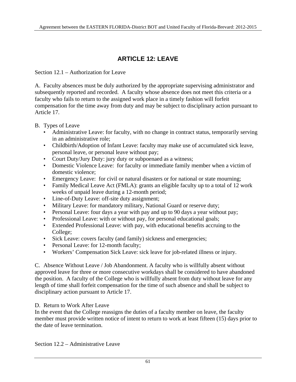# **ARTICLE 12: LEAVE**

Section 12.1 – Authorization for Leave

A. Faculty absences must be duly authorized by the appropriate supervising administrator and subsequently reported and recorded. A faculty whose absence does not meet this criteria or a faculty who fails to return to the assigned work place in a timely fashion will forfeit compensation for the time away from duty and may be subject to disciplinary action pursuant to Article 17.

## B. Types of Leave

- Administrative Leave: for faculty, with no change in contract status, temporarily serving in an administrative role;
- Childbirth/Adoption of Infant Leave: faculty may make use of accumulated sick leave, personal leave, or personal leave without pay;
- Court Duty/Jury Duty: jury duty or subpoenaed as a witness;
- Domestic Violence Leave: for faculty or immediate family member when a victim of domestic violence;
- Emergency Leave: for civil or natural disasters or for national or state mourning;
- Family Medical Leave Act (FMLA): grants an eligible faculty up to a total of 12 work weeks of unpaid leave during a 12-month period;
- Line-of-Duty Leave: off-site duty assignment;
- Military Leave: for mandatory military, National Guard or reserve duty;
- Personal Leave: four days a year with pay and up to 90 days a year without pay;
- Professional Leave: with or without pay, for personal educational goals;
- Extended Professional Leave: with pay, with educational benefits accruing to the College;
- Sick Leave: covers faculty (and family) sickness and emergencies;
- Personal Leave: for 12-month faculty;
- Workers' Compensation Sick Leave: sick leave for job-related illness or injury.

C. Absence Without Leave / Job Abandonment. A faculty who is willfully absent without approved leave for three or more consecutive workdays shall be considered to have abandoned the position. A faculty of the College who is willfully absent from duty without leave for any length of time shall forfeit compensation for the time of such absence and shall be subject to disciplinary action pursuant to Article 17.

# D. Return to Work After Leave

In the event that the College reassigns the duties of a faculty member on leave, the faculty member must provide written notice of intent to return to work at least fifteen (15) days prior to the date of leave termination.

Section 12.2 – Administrative Leave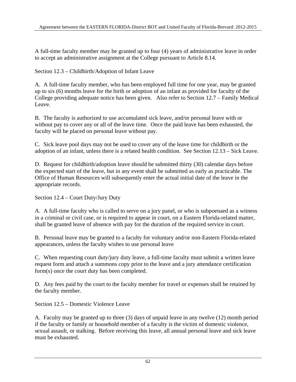A full-time faculty member may be granted up to four (4) years of administrative leave in order to accept an administrative assignment at the College pursuant to Article 8.14.

Section 12.3 – Childbirth/Adoption of Infant Leave

A. A full-time faculty member, who has been employed full time for one year, may be granted up to six (6) months leave for the birth or adoption of an infant as provided for faculty of the College providing adequate notice has been given. Also refer to Section 12.7 – Family Medical Leave.

B. The faculty is authorized to use accumulated sick leave, and/or personal leave with or without pay to cover any or all of the leave time. Once the paid leave has been exhausted, the faculty will be placed on personal leave without pay.

C. Sick leave pool days may not be used to cover any of the leave time for childbirth or the adoption of an infant, unless there is a related health condition. See Section 12.13 – Sick Leave.

D. Request for childbirth/adoption leave should be submitted thirty (30) calendar days before the expected start of the leave, but in any event shall be submitted as early as practicable. The Office of Human Resources will subsequently enter the actual initial date of the leave in the appropriate records.

Section 12.4 – Court Duty/Jury Duty

A. A full-time faculty who is called to serve on a jury panel, or who is subpoenaed as a witness in a criminal or civil case, or is required to appear in court, on a Eastern Florida-related matter, shall be granted leave of absence with pay for the duration of the required service in court.

B. Personal leave may be granted to a faculty for voluntary and/or non-Eastern Florida-related appearances, unless the faculty wishes to use personal leave

C. When requesting court duty/jury duty leave, a full-time faculty must submit a written leave request form and attach a summons copy prior to the leave and a jury attendance certification form(s) once the court duty has been completed.

D. Any fees paid by the court to the faculty member for travel or expenses shall be retained by the faculty member.

Section 12.5 – Domestic Violence Leave

A. Faculty may be granted up to three (3) days of unpaid leave in any twelve (12) month period if the faculty or family or household member of a faculty is the victim of domestic violence, sexual assault, or stalking. Before receiving this leave, all annual personal leave and sick leave must be exhausted.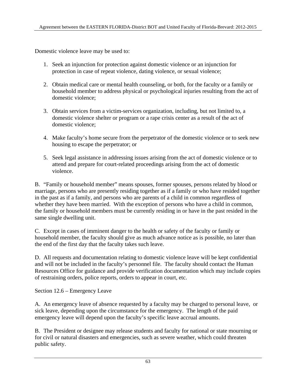Domestic violence leave may be used to:

- 1. Seek an injunction for protection against domestic violence or an injunction for protection in case of repeat violence, dating violence, or sexual violence;
- 2. Obtain medical care or mental health counseling, or both, for the faculty or a family or household member to address physical or psychological injuries resulting from the act of domestic violence;
- 3. Obtain services from a victim-services organization, including, but not limited to, a domestic violence shelter or program or a rape crisis center as a result of the act of domestic violence;
- 4. Make faculty's home secure from the perpetrator of the domestic violence or to seek new housing to escape the perpetrator; or
- 5. Seek legal assistance in addressing issues arising from the act of domestic violence or to attend and prepare for court-related proceedings arising from the act of domestic violence.

B. "Family or household member" means spouses, former spouses, persons related by blood or marriage, persons who are presently residing together as if a family or who have resided together in the past as if a family, and persons who are parents of a child in common regardless of whether they have been married. With the exception of persons who have a child in common, the family or household members must be currently residing in or have in the past resided in the same single dwelling unit.

C. Except in cases of imminent danger to the health or safety of the faculty or family or household member, the faculty should give as much advance notice as is possible, no later than the end of the first day that the faculty takes such leave.

D. All requests and documentation relating to domestic violence leave will be kept confidential and will not be included in the faculty's personnel file. The faculty should contact the Human Resources Office for guidance and provide verification documentation which may include copies of restraining orders, police reports, orders to appear in court, etc.

Section 12.6 – Emergency Leave

A. An emergency leave of absence requested by a faculty may be charged to personal leave, or sick leave, depending upon the circumstance for the emergency. The length of the paid emergency leave will depend upon the faculty's specific leave accrual amounts.

B. The President or designee may release students and faculty for national or state mourning or for civil or natural disasters and emergencies, such as severe weather, which could threaten public safety.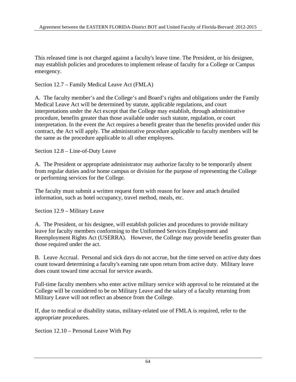This released time is not charged against a faculty's leave time. The President, or his designee, may establish policies and procedures to implement release of faculty for a College or Campus emergency.

Section 12.7 – Family Medical Leave Act (FMLA)

A. The faculty member's and the College's and Board's rights and obligations under the Family Medical Leave Act will be determined by statute, applicable regulations, and court interpretations under the Act except that the College may establish, through administrative procedure, benefits greater than those available under such statute, regulation, or court interpretation. In the event the Act requires a benefit greater than the benefits provided under this contract, the Act will apply. The administrative procedure applicable to faculty members will be the same as the procedure applicable to all other employees.

Section 12.8 – Line-of-Duty Leave

A. The President or appropriate administrator may authorize faculty to be temporarily absent from regular duties and/or home campus or division for the purpose of representing the College or performing services for the College.

The faculty must submit a written request form with reason for leave and attach detailed information, such as hotel occupancy, travel method, meals, etc.

Section 12.9 – Military Leave

A. The President, or his designee, will establish policies and procedures to provide military leave for faculty members conforming to the Uniformed Services Employment and Reemployment Rights Act (USERRA). However, the College may provide benefits greater than those required under the act.

B. Leave Accrual. Personal and sick days do not accrue, but the time served on active duty does count toward determining a faculty's earning rate upon return from active duty. Military leave does count toward time accrual for service awards.

Full-time faculty members who enter active military service with approval to be reinstated at the College will be considered to be on Military Leave and the salary of a faculty returning from Military Leave will not reflect an absence from the College.

If, due to medical or disability status, military-related use of FMLA is required, refer to the appropriate procedures.

Section 12.10 – Personal Leave With Pay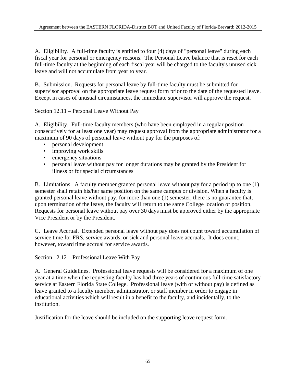A. Eligibility. A full-time faculty is entitled to four (4) days of "personal leave" during each fiscal year for personal or emergency reasons. The Personal Leave balance that is reset for each full-time faculty at the beginning of each fiscal year will be charged to the faculty's unused sick leave and will not accumulate from year to year.

B. Submission. Requests for personal leave by full-time faculty must be submitted for supervisor approval on the appropriate leave request form prior to the date of the requested leave. Except in cases of unusual circumstances, the immediate supervisor will approve the request.

Section 12.11 – Personal Leave Without Pay

A. Eligibility. Full-time faculty members (who have been employed in a regular position consecutively for at least one year) may request approval from the appropriate administrator for a maximum of 90 days of personal leave without pay for the purposes of:

- personal development
- improving work skills
- emergency situations
- personal leave without pay for longer durations may be granted by the President for illness or for special circumstances

B. Limitations. A faculty member granted personal leave without pay for a period up to one (1) semester shall retain his/her same position on the same campus or division. When a faculty is granted personal leave without pay, for more than one (1) semester, there is no guarantee that, upon termination of the leave, the faculty will return to the same College location or position. Requests for personal leave without pay over 30 days must be approved either by the appropriate Vice President or by the President.

C. Leave Accrual. Extended personal leave without pay does not count toward accumulation of service time for FRS, service awards, or sick and personal leave accruals. It does count, however, toward time accrual for service awards.

Section 12.12 – Professional Leave With Pay

A. General Guidelines. Professional leave requests will be considered for a maximum of one year at a time when the requesting faculty has had three years of continuous full-time satisfactory service at Eastern Florida State College. Professional leave (with or without pay) is defined as leave granted to a faculty member, administrator, or staff member in order to engage in educational activities which will result in a benefit to the faculty, and incidentally, to the institution.

Justification for the leave should be included on the supporting leave request form.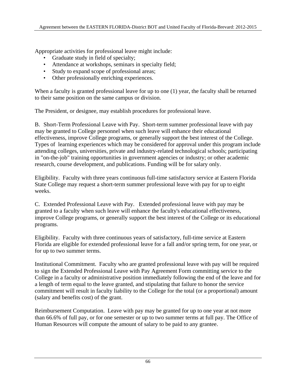Appropriate activities for professional leave might include:

- Graduate study in field of specialty;
- Attendance at workshops, seminars in specialty field;
- Study to expand scope of professional areas;
- Other professionally enriching experiences.

When a faculty is granted professional leave for up to one (1) year, the faculty shall be returned to their same position on the same campus or division.

The President, or designee, may establish procedures for professional leave.

B. Short-Term Professional Leave with Pay. Short-term summer professional leave with pay may be granted to College personnel when such leave will enhance their educational effectiveness, improve College programs, or generally support the best interest of the College. Types of learning experiences which may be considered for approval under this program include attending colleges, universities, private and industry-related technological schools; participating in "on-the-job" training opportunities in government agencies or industry; or other academic research, course development, and publications. Funding will be for salary only.

Eligibility. Faculty with three years continuous full-time satisfactory service at Eastern Florida State College may request a short-term summer professional leave with pay for up to eight weeks.

C. Extended Professional Leave with Pay. Extended professional leave with pay may be granted to a faculty when such leave will enhance the faculty's educational effectiveness, improve College programs, or generally support the best interest of the College or its educational programs.

Eligibility. Faculty with three continuous years of satisfactory, full-time service at Eastern Florida are eligible for extended professional leave for a fall and/or spring term, for one year, or for up to two summer terms.

Institutional Commitment. Faculty who are granted professional leave with pay will be required to sign the Extended Professional Leave with Pay Agreement Form committing service to the College in a faculty or administrative position immediately following the end of the leave and for a length of term equal to the leave granted, and stipulating that failure to honor the service commitment will result in faculty liability to the College for the total (or a proportional) amount (salary and benefits cost) of the grant.

Reimbursement Computation. Leave with pay may be granted for up to one year at not more than 66.6% of full pay, or for one semester or up to two summer terms at full pay. The Office of Human Resources will compute the amount of salary to be paid to any grantee.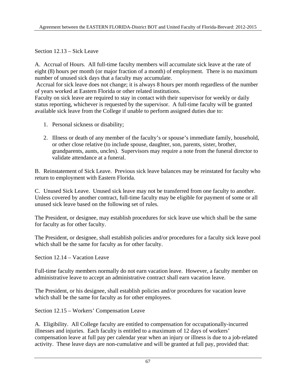Section 12.13 – Sick Leave

A. Accrual of Hours. All full-time faculty members will accumulate sick leave at the rate of eight (8) hours per month (or major fraction of a month) of employment. There is no maximum number of unused sick days that a faculty may accumulate.

 Accrual for sick leave does not change; it is always 8 hours per month regardless of the number of years worked at Eastern Florida or other related institutions.

Faculty on sick leave are required to stay in contact with their supervisor for weekly or daily status reporting, whichever is requested by the supervisor. A full-time faculty will be granted available sick leave from the College if unable to perform assigned duties due to:

- 1. Personal sickness or disability;
- 2. Illness or death of any member of the faculty's or spouse's immediate family, household, or other close relative (to include spouse, daughter, son, parents, sister, brother, grandparents, aunts, uncles). Supervisors may require a note from the funeral director to validate attendance at a funeral.

B. Reinstatement of Sick Leave. Previous sick leave balances may be reinstated for faculty who return to employment with Eastern Florida.

C. Unused Sick Leave. Unused sick leave may not be transferred from one faculty to another. Unless covered by another contract, full-time faculty may be eligible for payment of some or all unused sick leave based on the following set of rules.

The President, or designee, may establish procedures for sick leave use which shall be the same for faculty as for other faculty.

The President, or designee, shall establish policies and/or procedures for a faculty sick leave pool which shall be the same for faculty as for other faculty.

Section 12.14 – Vacation Leave

Full-time faculty members normally do not earn vacation leave. However, a faculty member on administrative leave to accept an administrative contract shall earn vacation leave.

The President, or his designee, shall establish policies and/or procedures for vacation leave which shall be the same for faculty as for other employees.

Section 12.15 – Workers' Compensation Leave

A. Eligibility. All College faculty are entitled to compensation for occupationally-incurred illnesses and injuries. Each faculty is entitled to a maximum of 12 days of workers' compensation leave at full pay per calendar year when an injury or illness is due to a job-related activity. These leave days are non-cumulative and will be granted at full pay, provided that: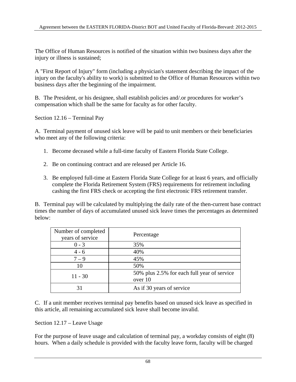The Office of Human Resources is notified of the situation within two business days after the injury or illness is sustained;

A "First Report of Injury" form (including a physician's statement describing the impact of the injury on the faculty's ability to work) is submitted to the Office of Human Resources within two business days after the beginning of the impairment.

B. The President, or his designee, shall establish policies and/.or procedures for worker's compensation which shall be the same for faculty as for other faculty.

Section 12.16 – Terminal Pay

A. Terminal payment of unused sick leave will be paid to unit members or their beneficiaries who meet any of the following criteria:

- 1. Become deceased while a full-time faculty of Eastern Florida State College.
- 2. Be on continuing contract and are released per Article 16.
- 3. Be employed full-time at Eastern Florida State College for at least 6 years, and officially complete the Florida Retirement System (FRS) requirements for retirement including cashing the first FRS check or accepting the first electronic FRS retirement transfer.

B. Terminal pay will be calculated by multiplying the daily rate of the then-current base contract times the number of days of accumulated unused sick leave times the percentages as determined below:

| Number of completed<br>years of service | Percentage                                             |
|-----------------------------------------|--------------------------------------------------------|
| $0 - 3$                                 | 35%                                                    |
| $4 - 6$                                 | 40%                                                    |
| $7 - 9$                                 | 45%                                                    |
| 10                                      | 50%                                                    |
| $11 - 30$                               | 50% plus 2.5% for each full year of service<br>over 10 |
|                                         | As if 30 years of service                              |

C. If a unit member receives terminal pay benefits based on unused sick leave as specified in this article, all remaining accumulated sick leave shall become invalid.

Section 12.17 – Leave Usage

For the purpose of leave usage and calculation of terminal pay, a workday consists of eight (8) hours. When a daily schedule is provided with the faculty leave form, faculty will be charged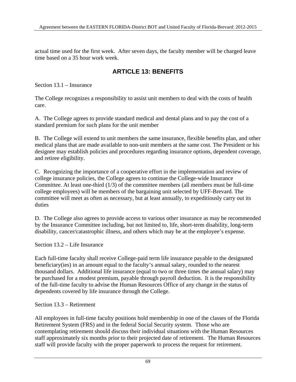actual time used for the first week. After seven days, the faculty member will be charged leave time based on a 35 hour work week.

### **ARTICLE 13: BENEFITS**

Section 13.1 – Insurance

The College recognizes a responsibility to assist unit members to deal with the costs of health care.

A. The College agrees to provide standard medical and dental plans and to pay the cost of a standard premium for such plans for the unit member

B. The College will extend to unit members the same insurance, flexible benefits plan, and other medical plans that are made available to non-unit members at the same cost. The President or his designee may establish policies and procedures regarding insurance options, dependent coverage, and retiree eligibility.

C. Recognizing the importance of a cooperative effort in the implementation and review of college insurance policies, the College agrees to continue the College-wide Insurance Committee. At least one-third (1/3) of the committee members (all members must be full-time college employees) will be members of the bargaining unit selected by UFF-Brevard. The committee will meet as often as necessary, but at least annually, to expeditiously carry out its duties

D. The College also agrees to provide access to various other insurance as may be recommended by the Insurance Committee including, but not limited to, life, short-term disability, long-term disability, cancer/catastrophic illness, and others which may be at the employee's expense.

Section 13.2 – Life Insurance

Each full-time faculty shall receive College-paid term life insurance payable to the designated beneficiary(ies) in an amount equal to the faculty's annual salary, rounded to the nearest thousand dollars. Additional life insurance (equal to two or three times the annual salary) may be purchased for a modest premium, payable through payroll deduction. It is the responsibility of the full-time faculty to advise the Human Resources Office of any change in the status of dependents covered by life insurance through the College.

#### Section 13.3 – Retirement

All employees in full-time faculty positions hold membership in one of the classes of the Florida Retirement System (FRS) and in the federal Social Security system. Those who are contemplating retirement should discuss their individual situations with the Human Resources staff approximately six months prior to their projected date of retirement. The Human Resources staff will provide faculty with the proper paperwork to process the request for retirement.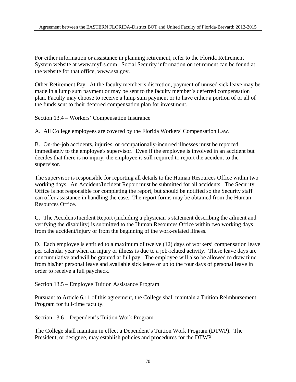For either information or assistance in planning retirement, refer to the Florida Retirement System website at www.myfrs.com. Social Security information on retirement can be found at the website for that office, www.ssa.gov.

Other Retirement Pay. At the faculty member's discretion, payment of unused sick leave may be made in a lump sum payment or may be sent to the faculty member's deferred compensation plan. Faculty may choose to receive a lump sum payment or to have either a portion of or all of the funds sent to their deferred compensation plan for investment.

Section 13.4 – Workers' Compensation Insurance

A. All College employees are covered by the Florida Workers' Compensation Law.

B. On-the-job accidents, injuries, or occupationally-incurred illnesses must be reported immediately to the employee's supervisor. Even if the employee is involved in an accident but decides that there is no injury, the employee is still required to report the accident to the supervisor.

The supervisor is responsible for reporting all details to the Human Resources Office within two working days. An Accident/Incident Report must be submitted for all accidents. The Security Office is not responsible for completing the report, but should be notified so the Security staff can offer assistance in handling the case. The report forms may be obtained from the Human Resources Office.

C. The Accident/Incident Report (including a physician's statement describing the ailment and verifying the disability) is submitted to the Human Resources Office within two working days from the accident/injury or from the beginning of the work-related illness.

D. Each employee is entitled to a maximum of twelve (12) days of workers' compensation leave per calendar year when an injury or illness is due to a job-related activity. These leave days are noncumulative and will be granted at full pay. The employee will also be allowed to draw time from his/her personal leave and available sick leave or up to the four days of personal leave in order to receive a full paycheck.

Section 13.5 – Employee Tuition Assistance Program

Pursuant to Article 6.11 of this agreement, the College shall maintain a Tuition Reimbursement Program for full-time faculty.

Section 13.6 – Dependent's Tuition Work Program

The College shall maintain in effect a Dependent's Tuition Work Program (DTWP). The President, or designee, may establish policies and procedures for the DTWP.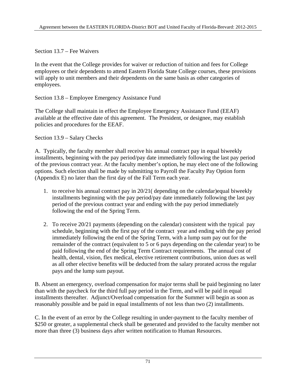Section 13.7 – Fee Waivers

In the event that the College provides for waiver or reduction of tuition and fees for College employees or their dependents to attend Eastern Florida State College courses, these provisions will apply to unit members and their dependents on the same basis as other categories of employees.

Section 13.8 – Employee Emergency Assistance Fund

The College shall maintain in effect the Employee Emergency Assistance Fund (EEAF) available at the effective date of this agreement. The President, or designee, may establish policies and procedures for the EEAF.

Section 13.9 – Salary Checks

A. Typically, the faculty member shall receive his annual contract pay in equal biweekly installments, beginning with the pay period/pay date immediately following the last pay period of the previous contract year. At the faculty member's option, he may elect one of the following options. Such election shall be made by submitting to Payroll the Faculty Pay Option form (Appendix E) no later than the first day of the Fall Term each year.

- 1. to receive his annual contract pay in 20/21( depending on the calendar)equal biweekly installments beginning with the pay period/pay date immediately following the last pay period of the previous contract year and ending with the pay period immediately following the end of the Spring Term.
- 2. To receive 20/21 payments (depending on the calendar) consistent with the typical pay schedule, beginning with the first pay of the contract year and ending with the pay period immediately following the end of the Spring Term, with a lump sum pay out for the remainder of the contract (equivalent to 5 or 6 pays depending on the calendar year) to be paid following the end of the Spring Term Contract requirements. The annual cost of health, dental, vision, flex medical, elective retirement contributions, union dues as well as all other elective benefits will be deducted from the salary prorated across the regular pays and the lump sum payout.

B. Absent an emergency, overload compensation for major terms shall be paid beginning no later than with the paycheck for the third full pay period in the Term, and will be paid in equal installments thereafter. Adjunct/Overload compensation for the Summer will begin as soon as reasonably possible and be paid in equal installments of not less than two (2) installments.

C. In the event of an error by the College resulting in under-payment to the faculty member of \$250 or greater, a supplemental check shall be generated and provided to the faculty member not more than three (3) business days after written notification to Human Resources.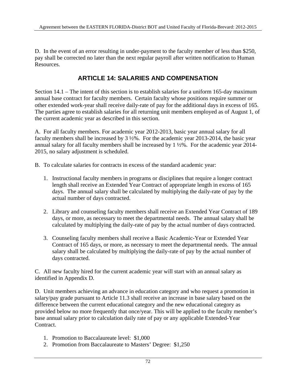D. In the event of an error resulting in under-payment to the faculty member of less than \$250, pay shall be corrected no later than the next regular payroll after written notification to Human Resources.

#### **ARTICLE 14: SALARIES AND COMPENSATION**

Section 14.1 – The intent of this section is to establish salaries for a uniform 165-day maximum annual base contract for faculty members. Certain faculty whose positions require summer or other extended work-year shall receive daily-rate of pay for the additional days in excess of 165. The parties agree to establish salaries for all returning unit members employed as of August 1, of the current academic year as described in this section.

A. For all faculty members. For academic year 2012-2013, basic year annual salary for all faculty members shall be increased by 3 ½%. For the academic year 2013-2014, the basic year annual salary for all faculty members shall be increased by 1 ½%. For the academic year 2014- 2015, no salary adjustment is scheduled.

- B. To calculate salaries for contracts in excess of the standard academic year:
	- 1. Instructional faculty members in programs or disciplines that require a longer contract length shall receive an Extended Year Contract of appropriate length in excess of 165 days. The annual salary shall be calculated by multiplying the daily-rate of pay by the actual number of days contracted.
	- 2. Library and counseling faculty members shall receive an Extended Year Contract of 189 days, or more, as necessary to meet the departmental needs. The annual salary shall be calculated by multiplying the daily-rate of pay by the actual number of days contracted.
	- 3. Counseling faculty members shall receive a Basic Academic-Year or Extended Year Contract of 165 days, or more, as necessary to meet the departmental needs. The annual salary shall be calculated by multiplying the daily-rate of pay by the actual number of days contracted.

C. All new faculty hired for the current academic year will start with an annual salary as identified in Appendix D.

D. Unit members achieving an advance in education category and who request a promotion in salary/pay grade pursuant to Article 11.3 shall receive an increase in base salary based on the difference between the current educational category and the new educational category as provided below no more frequently that once/year. This will be applied to the faculty member's base annual salary prior to calculation daily rate of pay or any applicable Extended-Year Contract.

- 1. Promotion to Baccalaureate level: \$1,000
- 2. Promotion from Baccalaureate to Masters' Degree: \$1,250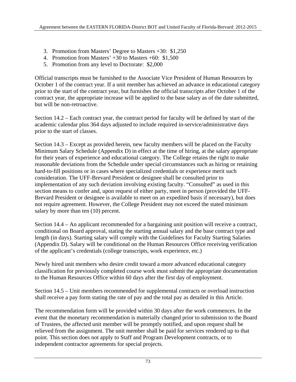- 3. Promotion from Masters' Degree to Masters +30: \$1,250
- 4. Promotion from Masters' +30 to Masters +60: \$1,500
- 5. Promotion from any level to Doctorate: \$2,000

Official transcripts must be furnished to the Associate Vice President of Human Resources by October 1 of the contract year. If a unit member has achieved an advance in educational category prior to the start of the contract year, but furnishes the official transcripts after October 1 of the contract year, the appropriate increase will be applied to the base salary as of the date submitted, but will be non-retroactive.

Section 14.2 – Each contract year, the contract period for faculty will be defined by start of the academic calendar plus 364 days adjusted to include required in-service/administrative days prior to the start of classes.

Section 14.3 – Except as provided herein, new faculty members will be placed on the Faculty Minimum Salary Schedule (Appendix D) in effect at the time of hiring, at the salary appropriate for their years of experience and educational category. The College retains the right to make reasonable deviations from the Schedule under special circumstances such as hiring or retaining hard-to-fill positions or in cases where specialized credentials or experience merit such consideration. The UFF-Brevard President or designee shall be consulted prior to implementation of any such deviation involving existing faculty. "Consulted" as used in this section means to confer and, upon request of either party, meet in person (provided the UFF-Brevard President or designee is available to meet on an expedited basis if necessary), but does not require agreement. However, the College President may not exceed the stated minimum salary by more than ten  $(10)$  percent.

Section 14.4 – An applicant recommended for a bargaining unit position will receive a contract, conditional on Board approval, stating the starting annual salary and the base contract type and length (in days). Starting salary will comply with the Guidelines for Faculty Starting Salaries (Appendix D). Salary will be conditional on the Human Resources Office receiving verification of the applicant's credentials (college transcripts, work experience, etc.)

Newly hired unit members who desire credit toward a more advanced educational category classification for previously completed course work must submit the appropriate documentation to the Human Resources Office within 60 days after the first day of employment.

Section 14.5 – Unit members recommended for supplemental contracts or overload instruction shall receive a pay form stating the rate of pay and the total pay as detailed in this Article.

The recommendation form will be provided within 30 days after the work commences. In the event that the monetary recommendation is materially changed prior to submission to the Board of Trustees, the affected unit member will be promptly notified, and upon request shall be relieved from the assignment. The unit member shall be paid for services rendered up to that point. This section does not apply to Staff and Program Development contracts, or to independent contractor agreements for special projects.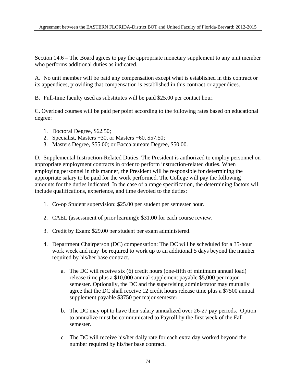Section 14.6 – The Board agrees to pay the appropriate monetary supplement to any unit member who performs additional duties as indicated.

A. No unit member will be paid any compensation except what is established in this contract or its appendices, providing that compensation is established in this contract or appendices.

B. Full-time faculty used as substitutes will be paid \$25.00 per contact hour.

C. Overload courses will be paid per point according to the following rates based on educational degree:

- 1. Doctoral Degree, \$62.50;
- 2. Specialist, Masters +30, or Masters +60, \$57.50;
- 3. Masters Degree, \$55.00; or Baccalaureate Degree, \$50.00.

D. Supplemental Instruction-Related Duties: The President is authorized to employ personnel on appropriate employment contracts in order to perform instruction-related duties. When employing personnel in this manner, the President will be responsible for determining the appropriate salary to be paid for the work performed. The College will pay the following amounts for the duties indicated. In the case of a range specification, the determining factors will include qualifications, experience, and time devoted to the duties:

- 1. Co-op Student supervision: \$25.00 per student per semester hour.
- 2. CAEL (assessment of prior learning): \$31.00 for each course review.
- 3. Credit by Exam: \$29.00 per student per exam administered.
- 4. Department Chairperson (DC) compensation: The DC will be scheduled for a 35-hour work week and may be required to work up to an additional 5 days beyond the number required by his/her base contract.
	- a. The DC will receive six (6) credit hours (one-fifth of minimum annual load) release time plus a \$10,000 annual supplement payable \$5,000 per major semester. Optionally, the DC and the supervising administrator may mutually agree that the DC shall receive 12 credit hours release time plus a \$7500 annual supplement payable \$3750 per major semester.
	- b. The DC may opt to have their salary annualized over 26-27 pay periods. Option to annualize must be communicated to Payroll by the first week of the Fall semester.
	- c. The DC will receive his/her daily rate for each extra day worked beyond the number required by his/her base contract.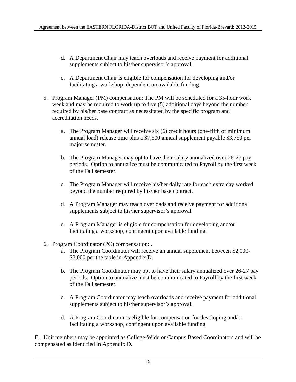- d. A Department Chair may teach overloads and receive payment for additional supplements subject to his/her supervisor's approval.
- e. A Department Chair is eligible for compensation for developing and/or facilitating a workshop, dependent on available funding.
- 5. Program Manager (PM) compensation: The PM will be scheduled for a 35-hour work week and may be required to work up to five (5) additional days beyond the number required by his/her base contract as necessitated by the specific program and accreditation needs.
	- a. The Program Manager will receive six (6) credit hours (one-fifth of minimum annual load) release time plus a \$7,500 annual supplement payable \$3,750 per major semester.
	- b. The Program Manager may opt to have their salary annualized over 26-27 pay periods. Option to annualize must be communicated to Payroll by the first week of the Fall semester.
	- c. The Program Manager will receive his/her daily rate for each extra day worked beyond the number required by his/her base contract.
	- d. A Program Manager may teach overloads and receive payment for additional supplements subject to his/her supervisor's approval.
	- e. A Program Manager is eligible for compensation for developing and/or facilitating a workshop, contingent upon available funding.
- 6. Program Coordinator (PC) compensation: .
	- a. The Program Coordinator will receive an annual supplement between \$2,000- \$3,000 per the table in Appendix D.
	- b. The Program Coordinator may opt to have their salary annualized over 26-27 pay periods. Option to annualize must be communicated to Payroll by the first week of the Fall semester.
	- c. A Program Coordinator may teach overloads and receive payment for additional supplements subject to his/her supervisor's approval.
	- d. A Program Coordinator is eligible for compensation for developing and/or facilitating a workshop, contingent upon available funding

E. Unit members may be appointed as College-Wide or Campus Based Coordinators and will be compensated as identified in Appendix D.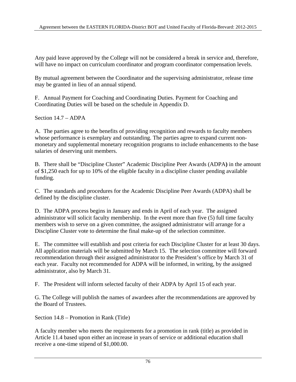Any paid leave approved by the College will not be considered a break in service and, therefore, will have no impact on curriculum coordinator and program coordinator compensation levels.

By mutual agreement between the Coordinator and the supervising administrator, release time may be granted in lieu of an annual stipend.

F. Annual Payment for Coaching and Coordinating Duties. Payment for Coaching and Coordinating Duties will be based on the schedule in Appendix D.

Section 14.7 – ADPA

A. The parties agree to the benefits of providing recognition and rewards to faculty members whose performance is exemplary and outstanding. The parties agree to expand current nonmonetary and supplemental monetary recognition programs to include enhancements to the base salaries of deserving unit members.

B. There shall be "Discipline Cluster" Academic Discipline Peer Awards (ADPA**)** in the amount of \$1,250 each for up to 10% of the eligible faculty in a discipline cluster pending available funding.

C. The standards and procedures for the Academic Discipline Peer Awards (ADPA) shall be defined by the discipline cluster.

D. The ADPA process begins in January and ends in April of each year. The assigned administrator will solicit faculty membership. In the event more than five (5) full time faculty members wish to serve on a given committee, the assigned administrator will arrange for a Discipline Cluster vote to determine the final make-up of the selection committee.

E. The committee will establish and post criteria for each Discipline Cluster for at least 30 days. All application materials will be submitted by March 15. The selection committee will forward recommendation through their assigned administrator to the President's office by March 31 of each year. Faculty not recommended for ADPA will be informed, in writing, by the assigned administrator, also by March 31.

F. The President will inform selected faculty of their ADPA by April 15 of each year.

G. The College will publish the names of awardees after the recommendations are approved by the Board of Trustees.

Section 14.8 – Promotion in Rank (Title)

A faculty member who meets the requirements for a promotion in rank (title) as provided in Article 11.4 based upon either an increase in years of service or additional education shall receive a one-time stipend of \$1,000.00.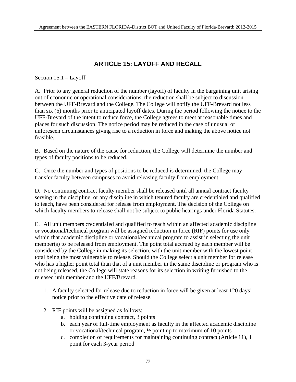# **ARTICLE 15: LAYOFF AND RECALL**

Section 15.1 – Layoff

A. Prior to any general reduction of the number (layoff) of faculty in the bargaining unit arising out of economic or operational considerations, the reduction shall be subject to discussion between the UFF-Brevard and the College. The College will notify the UFF-Brevard not less than six (6) months prior to anticipated layoff dates. During the period following the notice to the UFF-Brevard of the intent to reduce force, the College agrees to meet at reasonable times and places for such discussion. The notice period may be reduced in the case of unusual or unforeseen circumstances giving rise to a reduction in force and making the above notice not feasible.

B. Based on the nature of the cause for reduction, the College will determine the number and types of faculty positions to be reduced.

C. Once the number and types of positions to be reduced is determined, the College may transfer faculty between campuses to avoid releasing faculty from employment.

D. No continuing contract faculty member shall be released until all annual contract faculty serving in the discipline, or any discipline in which tenured faculty are credentialed and qualified to teach, have been considered for release from employment. The decision of the College on which faculty members to release shall not be subject to public hearings under Florida Statutes.

E. All unit members credentialed and qualified to teach within an affected academic discipline or vocational/technical program will be assigned reduction in force (RIF) points for use only within that academic discipline or vocational/technical program to assist in selecting the unit member(s) to be released from employment. The point total accrued by each member will be considered by the College in making its selection, with the unit member with the lowest point total being the most vulnerable to release. Should the College select a unit member for release who has a higher point total than that of a unit member in the same discipline or program who is not being released, the College will state reasons for its selection in writing furnished to the released unit member and the UFF/Brevard.

- 1. A faculty selected for release due to reduction in force will be given at least 120 days' notice prior to the effective date of release.
- 2. RIF points will be assigned as follows:
	- a. holding continuing contract, 3 points
	- b. each year of full-time employment as faculty in the affected academic discipline or vocational/technical program, ½ point up to maximum of 10 points
	- c. completion of requirements for maintaining continuing contract (Article 11), 1 point for each 3-year period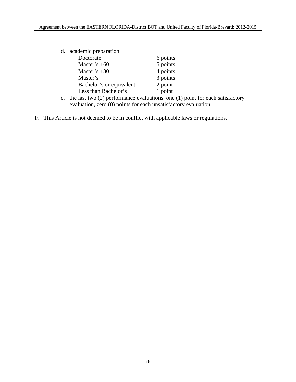| d. academic preparation  |          |
|--------------------------|----------|
| Doctorate                | 6 points |
| Master's $+60$           | 5 points |
| Master's $+30$           | 4 points |
| Master's                 | 3 points |
| Bachelor's or equivalent | 2 point  |
| Less than Bachelor's     | 1 point  |

- e. the last two (2) performance evaluations: one (1) point for each satisfactory evaluation, zero (0) points for each unsatisfactory evaluation.
- F. This Article is not deemed to be in conflict with applicable laws or regulations.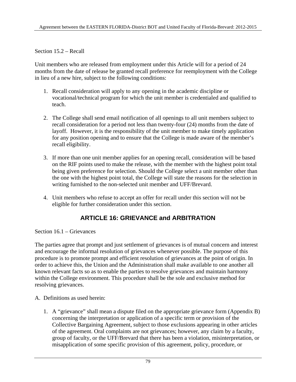Section 15.2 – Recall

Unit members who are released from employment under this Article will for a period of 24 months from the date of release be granted recall preference for reemployment with the College in lieu of a new hire, subject to the following conditions:

- 1. Recall consideration will apply to any opening in the academic discipline or vocational/technical program for which the unit member is credentialed and qualified to teach.
- 2. The College shall send email notification of all openings to all unit members subject to recall consideration for a period not less than twenty-four (24) months from the date of layoff. However, it is the responsibility of the unit member to make timely application for any position opening and to ensure that the College is made aware of the member's recall eligibility.
- 3. If more than one unit member applies for an opening recall, consideration will be based on the RIF points used to make the release, with the member with the highest point total being given preference for selection. Should the College select a unit member other than the one with the highest point total, the College will state the reasons for the selection in writing furnished to the non-selected unit member and UFF/Brevard.
- 4. Unit members who refuse to accept an offer for recall under this section will not be eligible for further consideration under this section.

## **ARTICLE 16: GRIEVANCE and ARBITRATION**

Section 16.1 – Grievances

The parties agree that prompt and just settlement of grievances is of mutual concern and interest and encourage the informal resolution of grievances whenever possible. The purpose of this procedure is to promote prompt and efficient resolution of grievances at the point of origin. In order to achieve this, the Union and the Administration shall make available to one another all known relevant facts so as to enable the parties to resolve grievances and maintain harmony within the College environment. This procedure shall be the sole and exclusive method for resolving grievances.

- A. Definitions as used herein:
	- 1. A "grievance" shall mean a dispute filed on the appropriate grievance form (Appendix B) concerning the interpretation or application of a specific term or provision of the Collective Bargaining Agreement, subject to those exclusions appearing in other articles of the agreement. Oral complaints are not grievances; however, any claim by a faculty, group of faculty, or the UFF/Brevard that there has been a violation, misinterpretation, or misapplication of some specific provision of this agreement, policy, procedure, or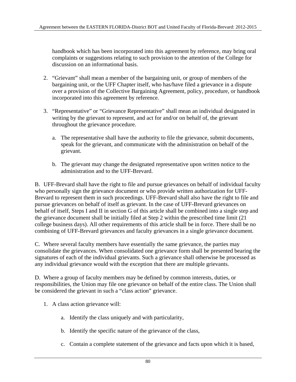handbook which has been incorporated into this agreement by reference, may bring oral complaints or suggestions relating to such provision to the attention of the College for discussion on an informational basis.

- 2. "Grievant" shall mean a member of the bargaining unit, or group of members of the bargaining unit, or the UFF Chapter itself, who has/have filed a grievance in a dispute over a provision of the Collective Bargaining Agreement, policy, procedure, or handbook incorporated into this agreement by reference.
- 3. "Representative" or "Grievance Representative" shall mean an individual designated in writing by the grievant to represent, and act for and/or on behalf of, the grievant throughout the grievance procedure.
	- a. The representative shall have the authority to file the grievance, submit documents, speak for the grievant, and communicate with the administration on behalf of the grievant.
	- b. The grievant may change the designated representative upon written notice to the administration and to the UFF-Brevard.

B. UFF-Brevard shall have the right to file and pursue grievances on behalf of individual faculty who personally sign the grievance document or who provide written authorization for UFF-Brevard to represent them in such proceedings. UFF-Brevard shall also have the right to file and pursue grievances on behalf of itself as grievant. In the case of UFF-Brevard grievances on behalf of itself, Steps I and II in section G of this article shall be combined into a single step and the grievance document shall be initially filed at Step 2 within the prescribed time limit (21 college business days). All other requirements of this article shall be in force. There shall be no combining of UFF-Brevard grievances and faculty grievances in a single grievance document.

C. Where several faculty members have essentially the same grievance, the parties may consolidate the grievances. When consolidated one grievance form shall be presented bearing the signatures of each of the individual grievants. Such a grievance shall otherwise be processed as any individual grievance would with the exception that there are multiple grievants.

D. Where a group of faculty members may be defined by common interests, duties, or responsibilities, the Union may file one grievance on behalf of the entire class. The Union shall be considered the grievant in such a "class action" grievance.

- 1. A class action grievance will:
	- a. Identify the class uniquely and with particularity,
	- b. Identify the specific nature of the grievance of the class,
	- c. Contain a complete statement of the grievance and facts upon which it is based,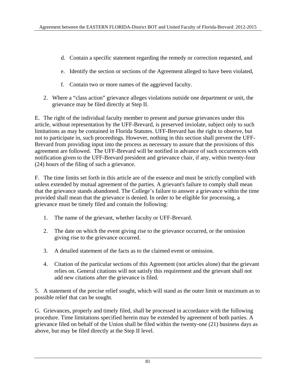- d. Contain a specific statement regarding the remedy or correction requested, and
- e. Identify the section or sections of the Agreement alleged to have been violated,
- f. Contain two or more names of the aggrieved faculty.
- 2. Where a "class action" grievance alleges violations outside one department or unit, the grievance may be filed directly at Step II.

E. The right of the individual faculty member to present and pursue grievances under this article, without representation by the UFF-Brevard, is preserved inviolate, subject only to such limitations as may be contained in Florida Statutes. UFF-Brevard has the right to observe, but not to participate in, such proceedings. However, nothing in this section shall prevent the UFF-Brevard from providing input into the process as necessary to assure that the provisions of this agreement are followed. The UFF-Brevard will be notified in advance of such occurrences with notification given to the UFF-Brevard president and grievance chair, if any, within twenty-four (24) hours of the filing of such a grievance.

F. The time limits set forth in this article are of the essence and must be strictly complied with unless extended by mutual agreement of the parties. A grievant's failure to comply shall mean that the grievance stands abandoned. The College's failure to answer a grievance within the time provided shall mean that the grievance is denied. In order to be eligible for processing, a grievance must be timely filed and contain the following:

- 1. The name of the grievant, whether faculty or UFF-Brevard.
- 2. The date on which the event giving rise to the grievance occurred, or the omission giving rise to the grievance occurred.
- 3. A detailed statement of the facts as to the claimed event or omission.
- 4. Citation of the particular sections of this Agreement (not articles alone) that the grievant relies on. General citations will not satisfy this requirement and the grievant shall not add new citations after the grievance is filed.

5. A statement of the precise relief sought, which will stand as the outer limit or maximum as to possible relief that can be sought.

G. Grievances, properly and timely filed, shall be processed in accordance with the following procedure. Time limitations specified herein may be extended by agreement of both parties. A grievance filed on behalf of the Union shall be filed within the twenty-one (21) business days as above, but may be filed directly at the Step II level.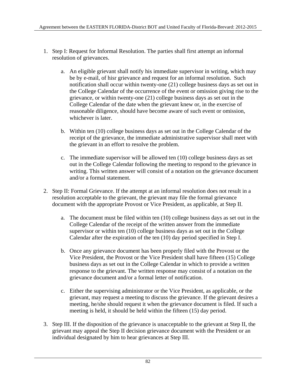- 1. Step I: Request for Informal Resolution. The parties shall first attempt an informal resolution of grievances.
	- a. An eligible grievant shall notify his immediate supervisor in writing, which may be by e-mail, of hisr grievance and request for an informal resolution. Such notification shall occur within twenty-one (21) college business days as set out in the College Calendar of the occurrence of the event or omission giving rise to the grievance, or within twenty-one (21) college business days as set out in the College Calendar of the date when the grievant knew or, in the exercise of reasonable diligence, should have become aware of such event or omission, whichever is later.
	- b. Within ten (10) college business days as set out in the College Calendar of the receipt of the grievance, the immediate administrative supervisor shall meet with the grievant in an effort to resolve the problem.
	- c. The immediate supervisor will be allowed ten (10) college business days as set out in the College Calendar following the meeting to respond to the grievance in writing. This written answer will consist of a notation on the grievance document and/or a formal statement.
- 2. Step II: Formal Grievance. If the attempt at an informal resolution does not result in a resolution acceptable to the grievant, the grievant may file the formal grievance document with the appropriate Provost or Vice President, as applicable, at Step II.
	- a. The document must be filed within ten (10) college business days as set out in the College Calendar of the receipt of the written answer from the immediate supervisor or within ten (10) college business days as set out in the College Calendar after the expiration of the ten (10) day period specified in Step I.
	- b. Once any grievance document has been properly filed with the Provost or the Vice President, the Provost or the Vice President shall have fifteen (15) College business days as set out in the College Calendar in which to provide a written response to the grievant. The written response may consist of a notation on the grievance document and/or a formal letter of notification.
	- c. Either the supervising administrator or the Vice President, as applicable, or the grievant, may request a meeting to discuss the grievance. If the grievant desires a meeting, he/she should request it when the grievance document is filed. If such a meeting is held, it should be held within the fifteen (15) day period.
- 3. Step III. If the disposition of the grievance is unacceptable to the grievant at Step II, the grievant may appeal the Step II decision grievance document with the President or an individual designated by him to hear grievances at Step III.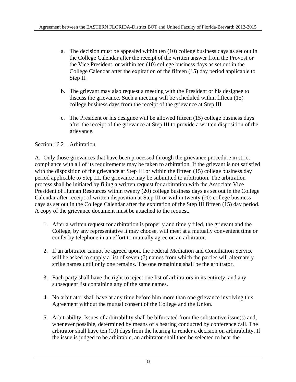- a. The decision must be appealed within ten (10) college business days as set out in the College Calendar after the receipt of the written answer from the Provost or the Vice President, or within ten (10) college business days as set out in the College Calendar after the expiration of the fifteen (15) day period applicable to Step II.
- b. The grievant may also request a meeting with the President or his designee to discuss the grievance. Such a meeting will be scheduled within fifteen (15) college business days from the receipt of the grievance at Step III.
- c. The President or his designee will be allowed fifteen (15) college business days after the receipt of the grievance at Step III to provide a written disposition of the grievance.

#### Section 16.2 – Arbitration

A. Only those grievances that have been processed through the grievance procedure in strict compliance with all of its requirements may be taken to arbitration. If the grievant is not satisfied with the disposition of the grievance at Step III or within the fifteen (15) college business day period applicable to Step III, the grievance may be submitted to arbitration. The arbitration process shall be initiated by filing a written request for arbitration with the Associate Vice President of Human Resources within twenty (20) college business days as set out in the College Calendar after receipt of written disposition at Step III or within twenty (20) college business days as set out in the College Calendar after the expiration of the Step III fifteen (15) day period. A copy of the grievance document must be attached to the request.

- 1. After a written request for arbitration is properly and timely filed, the grievant and the College, by any representative it may choose, will meet at a mutually convenient time or confer by telephone in an effort to mutually agree on an arbitrator.
- 2. If an arbitrator cannot be agreed upon, the Federal Mediation and Conciliation Service will be asked to supply a list of seven (7) names from which the parties will alternately strike names until only one remains. The one remaining shall be the arbitrator.
- 3. Each party shall have the right to reject one list of arbitrators in its entirety, and any subsequent list containing any of the same names.
- 4. No arbitrator shall have at any time before him more than one grievance involving this Agreement without the mutual consent of the College and the Union.
- 5. Arbitrability. Issues of arbitrability shall be bifurcated from the substantive issue(s) and, whenever possible, determined by means of a hearing conducted by conference call. The arbitrator shall have ten (10) days from the hearing to render a decision on arbitrability. If the issue is judged to be arbitrable, an arbitrator shall then be selected to hear the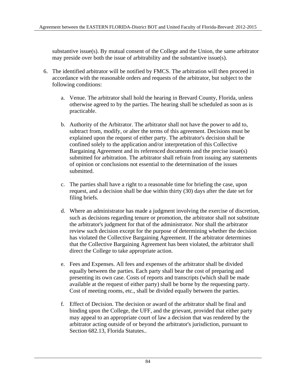substantive issue(s). By mutual consent of the College and the Union, the same arbitrator may preside over both the issue of arbitrability and the substantive issue(s).

- 6. The identified arbitrator will be notified by FMCS. The arbitration will then proceed in accordance with the reasonable orders and requests of the arbitrator, but subject to the following conditions:
	- a. Venue. The arbitrator shall hold the hearing in Brevard County, Florida, unless otherwise agreed to by the parties. The hearing shall be scheduled as soon as is practicable.
	- b. Authority of the Arbitrator. The arbitrator shall not have the power to add to, subtract from, modify, or alter the terms of this agreement. Decisions must be explained upon the request of either party. The arbitrator's decision shall be confined solely to the application and/or interpretation of this Collective Bargaining Agreement and its referenced documents and the precise issue(s) submitted for arbitration. The arbitrator shall refrain from issuing any statements of opinion or conclusions not essential to the determination of the issues submitted.
	- c. The parties shall have a right to a reasonable time for briefing the case, upon request, and a decision shall be due within thirty (30) days after the date set for filing briefs.
	- d. Where an administrator has made a judgment involving the exercise of discretion, such as decisions regarding tenure or promotion, the arbitrator shall not substitute the arbitrator's judgment for that of the administrator. Nor shall the arbitrator review such decision except for the purpose of determining whether the decision has violated the Collective Bargaining Agreement. If the arbitrator determines that the Collective Bargaining Agreement has been violated, the arbitrator shall direct the College to take appropriate action.
	- e. Fees and Expenses. All fees and expenses of the arbitrator shall be divided equally between the parties. Each party shall bear the cost of preparing and presenting its own case. Costs of reports and transcripts (which shall be made available at the request of either party) shall be borne by the requesting party. Cost of meeting rooms, etc., shall be divided equally between the parties.
	- f. Effect of Decision. The decision or award of the arbitrator shall be final and binding upon the College, the UFF, and the grievant, provided that either party may appeal to an appropriate court of law a decision that was rendered by the arbitrator acting outside of or beyond the arbitrator's jurisdiction, pursuant to Section 682.13, Florida Statutes..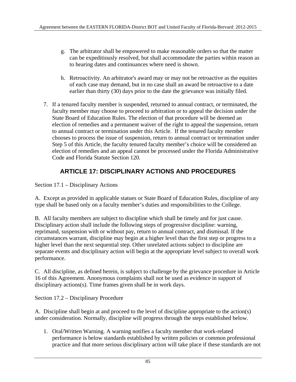- g. The arbitrator shall be empowered to make reasonable orders so that the matter can be expeditiously resolved, but shall accommodate the parties within reason as to hearing dates and continuances where need is shown.
- h. Retroactivity. An arbitrator's award may or may not be retroactive as the equities of each case may demand, but in no case shall an award be retroactive to a date earlier than thirty (30) days prior to the date the grievance was initially filed.
- 7. If a tenured faculty member is suspended, returned to annual contract, or terminated, the faculty member may choose to proceed to arbitration or to appeal the decision under the State Board of Education Rules. The election of that procedure will be deemed an election of remedies and a permanent waiver of the right to appeal the suspension, return to annual contract or termination under this Article. If the tenured faculty member chooses to process the issue of suspension, return to annual contract or termination under Step 5 of this Article, the faculty tenured faculty member's choice will be considered an election of remedies and an appeal cannot be processed under the Florida Administrative Code and Florida Statute Section 120.

# **ARTICLE 17: DISCIPLINARY ACTIONS AND PROCEDURES**

Section 17.1 – Disciplinary Actions

A. Except as provided in applicable statues or State Board of Education Rules, discipline of any type shall be based only on a faculty member's duties and responsibilities to the College.

B. All faculty members are subject to discipline which shall be timely and for just cause. Disciplinary action shall include the following steps of progressive discipline: warning, reprimand, suspension with or without pay, return to annual contract, and dismissal. If the circumstances warrant, discipline may begin at a higher level than the first step or progress to a higher level than the next sequential step. Other unrelated actions subject to discipline are separate events and disciplinary action will begin at the appropriate level subject to overall work performance.

C. All discipline, as defined herein, is subject to challenge by the grievance procedure in Article 16 of this Agreement. Anonymous complaints shall not be used as evidence in support of disciplinary actions(s). Time frames given shall be in work days.

Section 17.2 – Disciplinary Procedure

A. Discipline shall begin at and proceed to the level of discipline appropriate to the action(s) under consideration. Normally, discipline will progress through the steps established below.

1. Oral/Written Warning. A warning notifies a faculty member that work-related performance is below standards established by written policies or common professional practice and that more serious disciplinary action will take place if these standards are not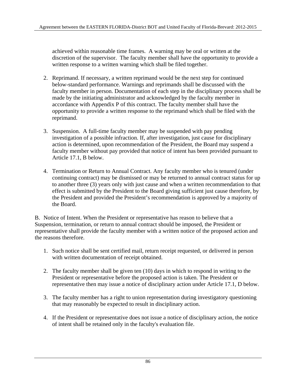achieved within reasonable time frames. A warning may be oral or written at the discretion of the supervisor. The faculty member shall have the opportunity to provide a written response to a written warning which shall be filed together.

- 2. Reprimand. If necessary, a written reprimand would be the next step for continued below-standard performance. Warnings and reprimands shall be discussed with the faculty member in person. Documentation of each step in the disciplinary process shall be made by the initiating administrator and acknowledged by the faculty member in accordance with Appendix P of this contract. The faculty member shall have the opportunity to provide a written response to the reprimand which shall be filed with the reprimand.
- 3. Suspension. A full-time faculty member may be suspended with pay pending investigation of a possible infraction. If, after investigation, just cause for disciplinary action is determined, upon recommendation of the President, the Board may suspend a faculty member without pay provided that notice of intent has been provided pursuant to Article 17.1, B below.
- 4. Termination or Return to Annual Contract. Any faculty member who is tenured (under continuing contract) may be dismissed or may be returned to annual contract status for up to another three (3) years only with just cause and when a written recommendation to that effect is submitted by the President to the Board giving sufficient just cause therefore, by the President and provided the President's recommendation is approved by a majority of the Board.

B. Notice of Intent. When the President or representative has reason to believe that a Suspension, termination, or return to annual contract should be imposed, the President or representative shall provide the faculty member with a written notice of the proposed action and the reasons therefore.

- 1. Such notice shall be sent certified mail, return receipt requested, or delivered in person with written documentation of receipt obtained.
- 2. The faculty member shall be given ten (10) days in which to respond in writing to the President or representative before the proposed action is taken. The President or representative then may issue a notice of disciplinary action under Article 17.1, D below.
- 3. The faculty member has a right to union representation during investigatory questioning that may reasonably be expected to result in disciplinary action.
- 4. If the President or representative does not issue a notice of disciplinary action, the notice of intent shall be retained only in the faculty's evaluation file.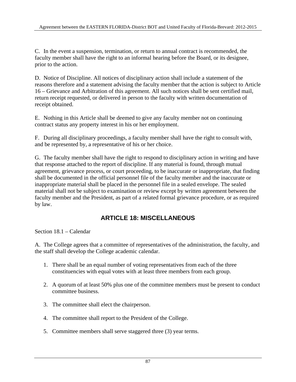C. In the event a suspension, termination, or return to annual contract is recommended, the faculty member shall have the right to an informal hearing before the Board, or its designee, prior to the action.

D. Notice of Discipline. All notices of disciplinary action shall include a statement of the reasons therefore and a statement advising the faculty member that the action is subject to Article 16 – Grievance and Arbitration of this agreement. All such notices shall be sent certified mail, return receipt requested, or delivered in person to the faculty with written documentation of receipt obtained.

E. Nothing in this Article shall be deemed to give any faculty member not on continuing contract status any property interest in his or her employment.

F. During all disciplinary proceedings, a faculty member shall have the right to consult with, and be represented by, a representative of his or her choice.

G. The faculty member shall have the right to respond to disciplinary action in writing and have that response attached to the report of discipline. If any material is found, through mutual agreement, grievance process, or court proceeding, to be inaccurate or inappropriate, that finding shall be documented in the official personnel file of the faculty member and the inaccurate or inappropriate material shall be placed in the personnel file in a sealed envelope. The sealed material shall not be subject to examination or review except by written agreement between the faculty member and the President, as part of a related formal grievance procedure, or as required by law.

### **ARTICLE 18: MISCELLANEOUS**

Section 18.1 – Calendar

A. The College agrees that a committee of representatives of the administration, the faculty, and the staff shall develop the College academic calendar.

- 1. There shall be an equal number of voting representatives from each of the three constituencies with equal votes with at least three members from each group.
- 2. A quorum of at least 50% plus one of the committee members must be present to conduct committee business.
- 3. The committee shall elect the chairperson.
- 4. The committee shall report to the President of the College.
- 5. Committee members shall serve staggered three (3) year terms.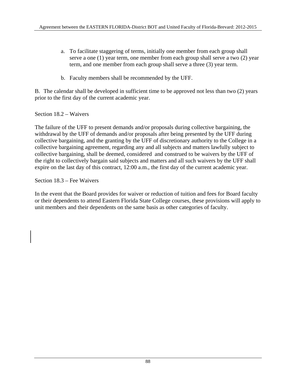- a. To facilitate staggering of terms, initially one member from each group shall serve a one (1) year term, one member from each group shall serve a two (2) year term, and one member from each group shall serve a three (3) year term.
- b. Faculty members shall be recommended by the UFF.

B. The calendar shall be developed in sufficient time to be approved not less than two (2) years prior to the first day of the current academic year.

Section 18.2 – Waivers

The failure of the UFF to present demands and/or proposals during collective bargaining, the withdrawal by the UFF of demands and/or proposals after being presented by the UFF during collective bargaining, and the granting by the UFF of discretionary authority to the College in a collective bargaining agreement, regarding any and all subjects and matters lawfully subject to collective bargaining, shall be deemed, considered and construed to be waivers by the UFF of the right to collectively bargain said subjects and matters and all such waivers by the UFF shall expire on the last day of this contract, 12:00 a.m., the first day of the current academic year.

Section 18.3 – Fee Waivers

In the event that the Board provides for waiver or reduction of tuition and fees for Board faculty or their dependents to attend Eastern Florida State College courses, these provisions will apply to unit members and their dependents on the same basis as other categories of faculty.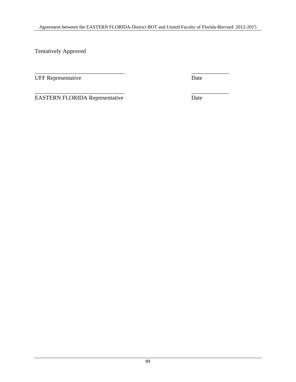Tentatively Approved

\_\_\_\_\_\_\_\_\_\_\_\_\_\_\_\_\_\_\_\_\_\_\_\_\_\_\_\_\_\_\_ \_\_\_\_\_\_\_\_\_\_\_\_\_ UFF Representative Date

 $\overline{\phantom{a}}$  , and the contract of the contract of the contract of the contract of the contract of the contract of the contract of the contract of the contract of the contract of the contract of the contract of the contrac EASTERN FLORIDA Representative Date